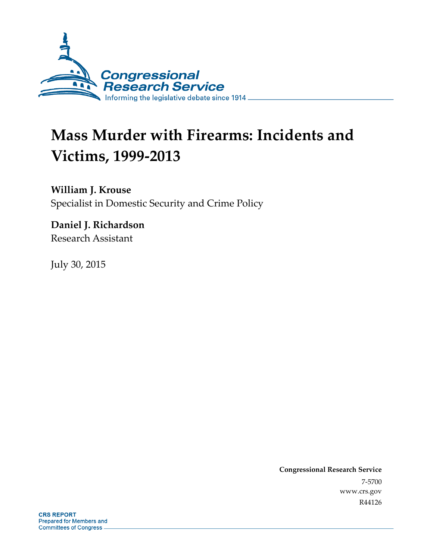

# **Mass Murder with Firearms: Incidents and Victims, 1999-2013**

**William J. Krouse** 

Specialist in Domestic Security and Crime Policy

**Daniel J. Richardson**  Research Assistant

July 30, 2015

**Congressional Research Service**  7-5700 www.crs.gov R44126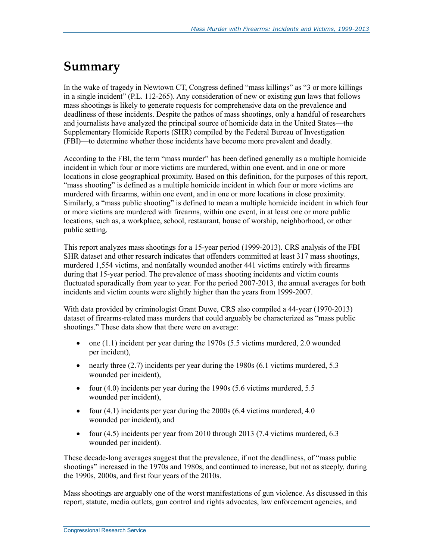## **Summary**

In the wake of tragedy in Newtown CT, Congress defined "mass killings" as "3 or more killings in a single incident" (P.L. 112-265). Any consideration of new or existing gun laws that follows mass shootings is likely to generate requests for comprehensive data on the prevalence and deadliness of these incidents. Despite the pathos of mass shootings, only a handful of researchers and journalists have analyzed the principal source of homicide data in the United States—the Supplementary Homicide Reports (SHR) compiled by the Federal Bureau of Investigation (FBI)—to determine whether those incidents have become more prevalent and deadly.

According to the FBI, the term "mass murder" has been defined generally as a multiple homicide incident in which four or more victims are murdered, within one event, and in one or more locations in close geographical proximity. Based on this definition, for the purposes of this report, "mass shooting" is defined as a multiple homicide incident in which four or more victims are murdered with firearms, within one event, and in one or more locations in close proximity. Similarly, a "mass public shooting" is defined to mean a multiple homicide incident in which four or more victims are murdered with firearms, within one event, in at least one or more public locations, such as, a workplace, school, restaurant, house of worship, neighborhood, or other public setting.

This report analyzes mass shootings for a 15-year period (1999-2013). CRS analysis of the FBI SHR dataset and other research indicates that offenders committed at least 317 mass shootings, murdered 1,554 victims, and nonfatally wounded another 441 victims entirely with firearms during that 15-year period. The prevalence of mass shooting incidents and victim counts fluctuated sporadically from year to year. For the period 2007-2013, the annual averages for both incidents and victim counts were slightly higher than the years from 1999-2007.

With data provided by criminologist Grant Duwe, CRS also compiled a 44-year (1970-2013) dataset of firearms-related mass murders that could arguably be characterized as "mass public shootings." These data show that there were on average:

- one  $(1.1)$  incident per year during the 1970s  $(5.5 \text{ victims murdered}, 2.0 \text{ wounded})$ per incident),
- nearly three (2.7) incidents per year during the 1980s (6.1 victims murdered, 5.3 wounded per incident),
- four (4.0) incidents per year during the 1990s (5.6 victims murdered, 5.5 wounded per incident),
- four (4.1) incidents per year during the 2000s (6.4 victims murdered, 4.0 wounded per incident), and
- four  $(4.5)$  incidents per year from 2010 through 2013 (7.4 victims murdered, 6.3 wounded per incident).

These decade-long averages suggest that the prevalence, if not the deadliness, of "mass public shootings" increased in the 1970s and 1980s, and continued to increase, but not as steeply, during the 1990s, 2000s, and first four years of the 2010s.

Mass shootings are arguably one of the worst manifestations of gun violence. As discussed in this report, statute, media outlets, gun control and rights advocates, law enforcement agencies, and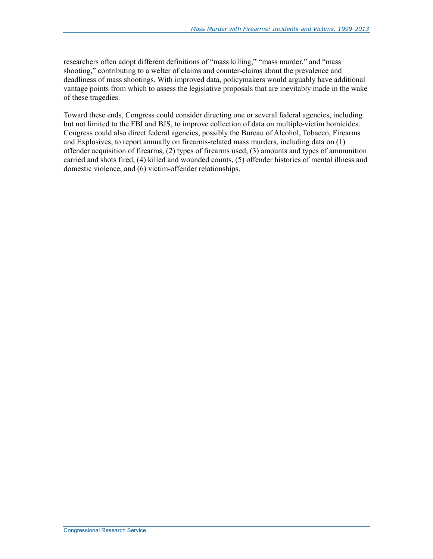researchers often adopt different definitions of "mass killing," "mass murder," and "mass shooting," contributing to a welter of claims and counter-claims about the prevalence and deadliness of mass shootings. With improved data, policymakers would arguably have additional vantage points from which to assess the legislative proposals that are inevitably made in the wake of these tragedies.

Toward these ends, Congress could consider directing one or several federal agencies, including but not limited to the FBI and BJS, to improve collection of data on multiple-victim homicides. Congress could also direct federal agencies, possibly the Bureau of Alcohol, Tobacco, Firearms and Explosives, to report annually on firearms-related mass murders, including data on (1) offender acquisition of firearms, (2) types of firearms used, (3) amounts and types of ammunition carried and shots fired, (4) killed and wounded counts, (5) offender histories of mental illness and domestic violence, and (6) victim-offender relationships.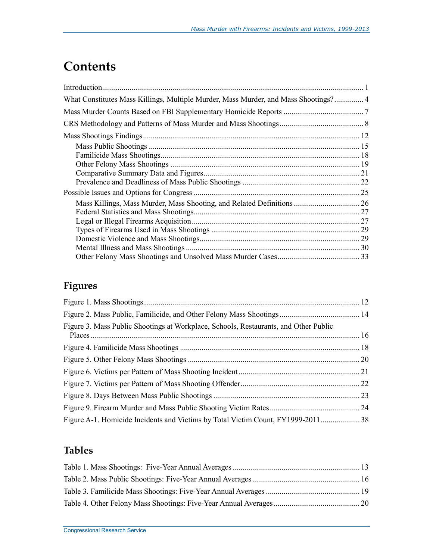## **Contents**

| What Constitutes Mass Killings, Multiple Murder, Mass Murder, and Mass Shootings? 4 |  |
|-------------------------------------------------------------------------------------|--|
|                                                                                     |  |
|                                                                                     |  |
|                                                                                     |  |
|                                                                                     |  |
|                                                                                     |  |
|                                                                                     |  |
|                                                                                     |  |
|                                                                                     |  |
|                                                                                     |  |
|                                                                                     |  |
|                                                                                     |  |
|                                                                                     |  |
|                                                                                     |  |
|                                                                                     |  |
|                                                                                     |  |
|                                                                                     |  |

## **Figures**

| Figure 3. Mass Public Shootings at Workplace, Schools, Restaurants, and Other Public |  |
|--------------------------------------------------------------------------------------|--|
|                                                                                      |  |
|                                                                                      |  |
|                                                                                      |  |
|                                                                                      |  |
|                                                                                      |  |
|                                                                                      |  |
|                                                                                      |  |
| Figure A-1. Homicide Incidents and Victims by Total Victim Count, FY1999-2011 38     |  |

### **Tables**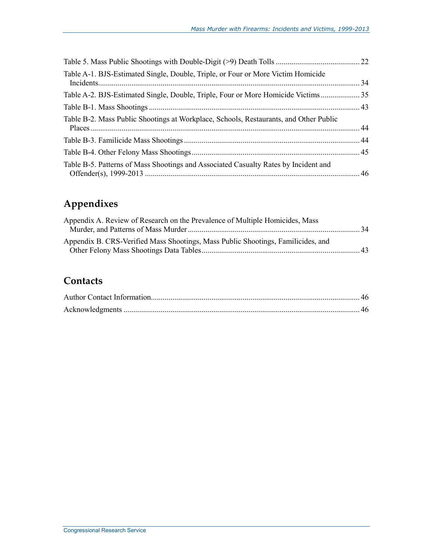| Table A-1. BJS-Estimated Single, Double, Triple, or Four or More Victim Homicide      |  |
|---------------------------------------------------------------------------------------|--|
| Table A-2. BJS-Estimated Single, Double, Triple, Four or More Homicide Victims 35     |  |
|                                                                                       |  |
| Table B-2. Mass Public Shootings at Workplace, Schools, Restaurants, and Other Public |  |
|                                                                                       |  |
|                                                                                       |  |
| Table B-5. Patterns of Mass Shootings and Associated Casualty Rates by Incident and   |  |

## **Appendixes**

| Appendix A. Review of Research on the Prevalence of Multiple Homicides, Mass     |  |
|----------------------------------------------------------------------------------|--|
| Appendix B. CRS-Verified Mass Shootings, Mass Public Shootings, Familicides, and |  |
|                                                                                  |  |

### **Contacts**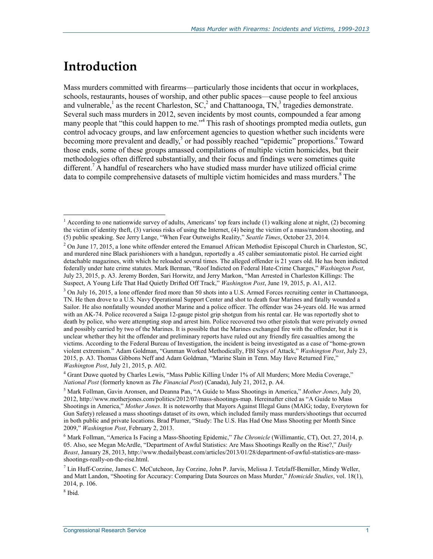## **Introduction**

Mass murders committed with firearms—particularly those incidents that occur in workplaces, schools, restaurants, houses of worship, and other public spaces—cause people to feel anxious and vulnerable,<sup>1</sup> as the recent Charleston,  $SC<sub>z</sub><sup>2</sup>$  and Chattanooga,  $TN<sub>z</sub><sup>3</sup>$  tragedies demonstrate. Several such mass murders in 2012, seven incidents by most counts, compounded a fear among many people that "this could happen to me."<sup>4</sup> This rash of shootings prompted media outlets, gun control advocacy groups, and law enforcement agencies to question whether such incidents were becoming more prevalent and deadly,<sup>5</sup> or had possibly reached "epidemic" proportions.<sup>6</sup> Toward those ends, some of these groups amassed compilations of multiple victim homicides, but their methodologies often differed substantially, and their focus and findings were sometimes quite different.<sup>7</sup> A handful of researchers who have studied mass murder have utilized official crime data to compile comprehensive datasets of multiple victim homicides and mass murders.<sup>8</sup> The

<sup>&</sup>lt;sup>1</sup> According to one nationwide survey of adults, Americans' top fears include (1) walking alone at night, (2) becoming the victim of identity theft, (3) various risks of using the Internet, (4) being the victim of a mass/random shooting, and (5) public speaking. See Jerry Lange, "When Fear Outweighs Reality," *Seattle Times*, October 23, 2014.

<sup>&</sup>lt;sup>2</sup> On June 17, 2015, a lone white offender entered the Emanuel African Methodist Episcopal Church in Charleston, SC, and murdered nine Black parishioners with a handgun, reportedly a .45 caliber semiautomatic pistol. He carried eight detachable magazines, with which he reloaded several times. The alleged offender is 21 years old. He has been indicted federally under hate crime statutes. Mark Berman, "Roof Indicted on Federal Hate-Crime Charges," *Washington Post*, July 23, 2015, p. A3. Jeremy Borden, Sari Horwitz, and Jerry Markon, "Man Arrested in Charleston Killings: The Suspect, A Young Life That Had Quietly Drifted Off Track," *Washington Post*, June 19, 2015, p. A1, A12.

<sup>&</sup>lt;sup>3</sup> On July 16, 2015, a lone offender fired more than 50 shots into a U.S. Armed Forces recruiting center in Chattanooga, TN. He then drove to a U.S. Navy Operational Support Center and shot to death four Marines and fatally wounded a Sailor. He also nonfatally wounded another Marine and a police officer. The offender was 24-years old. He was armed with an AK-74. Police recovered a Saiga 12-gauge pistol grip shotgun from his rental car. He was reportedly shot to death by police, who were attempting stop and arrest him. Police recovered two other pistols that were privately owned and possibly carried by two of the Marines. It is possible that the Marines exchanged fire with the offender, but it is unclear whether they hit the offender and preliminary reports have ruled out any friendly fire casualties among the victims. According to the Federal Bureau of Investigation, the incident is being investigated as a case of "home-grown violent extremism." Adam Goldman, "Gunman Worked Methodically, FBI Says of Attack," *Washington Post*, July 23, 2015, p. A3. Thomas Gibbons Neff and Adam Goldman, "Marine Slain in Tenn. May Have Returned Fire," *Washington Post*, July 21, 2015, p. A02.

<sup>4</sup> Grant Duwe quoted by Charles Lewis, "Mass Public Killing Under 1% of All Murders; More Media Coverage," *National Post* (formerly known as *The Financial Post*) (Canada), July 21, 2012, p. A4.

<sup>5</sup> Mark Follman, Gavin Aronsen, and Deanna Pan, "A Guide to Mass Shootings in America," *Mother Jones*, July 20, 2012, http://www.motherjones.com/politics/2012/07/mass-shootings-map. Hereinafter cited as "A Guide to Mass Shootings in America," *Mother Jones*. It is noteworthy that Mayors Against Illegal Guns (MAIG; today, Everytown for Gun Safety) released a mass shootings dataset of its own, which included family mass murders/shootings that occurred in both public and private locations. Brad Plumer, "Study: The U.S. Has Had One Mass Shooting per Month Since 2009," *Washington Post*, February 2, 2013.

<sup>6</sup> Mark Follman, "America Is Facing a Mass-Shooting Epidemic," *The Chronicle* (Willimantic, CT), Oct. 27, 2014, p. 05. Also, see Megan McArdle, "Department of Awful Statistics: Are Mass Shootings Really on the Rise?," *Daily Beast*, January 28, 2013, http://www.thedailybeast.com/articles/2013/01/28/department-of-awful-statistics-are-massshootings-really-on-the-rise.html.

<sup>7</sup> Lin Huff-Corzine, James C. McCutcheon, Jay Corzine, John P. Jarvis, Melissa J. Tetzlaff-Bemiller, Mindy Weller, and Matt Landon, "Shooting for Accuracy: Comparing Data Sources on Mass Murder," *Homicide Studies*, vol. 18(1), 2014, p. 106.

<sup>8</sup> Ibid.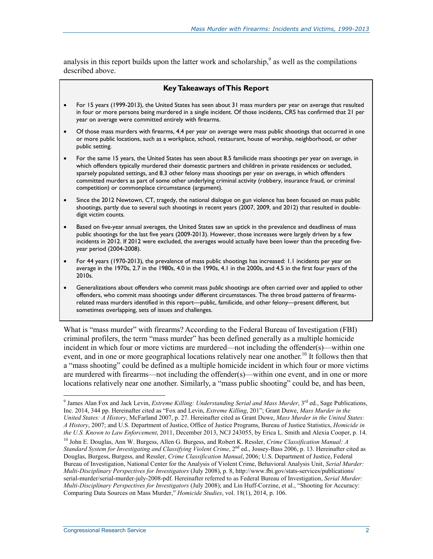analysis in this report builds upon the latter work and scholarship,  $\degree$  as well as the compilations described above.

#### **Key Takeaways of This Report**

- For 15 years (1999-2013), the United States has seen about 31 mass murders per year on average that resulted in four or more persons being murdered in a single incident. Of those incidents, CRS has confirmed that 21 per year on average were committed entirely with firearms.
- Of those mass murders with firearms, 4.4 per year on average were mass public shootings that occurred in one or more public locations, such as a workplace, school, restaurant, house of worship, neighborhood, or other public setting.
- For the same 15 years, the United States has seen about 8.5 familicide mass shootings per year on average, in which offenders typically murdered their domestic partners and children in private residences or secluded, sparsely populated settings, and 8.3 other felony mass shootings per year on average, in which offenders committed murders as part of some other underlying criminal activity (robbery, insurance fraud, or criminal competition) or commonplace circumstance (argument).
- Since the 2012 Newtown, CT, tragedy, the national dialogue on gun violence has been focused on mass public shootings, partly due to several such shootings in recent years (2007, 2009, and 2012) that resulted in doubledigit victim counts.
- Based on five-year annual averages, the United States saw an uptick in the prevalence and deadliness of mass public shootings for the last five years (2009-2013). However, those increases were largely driven by a few incidents in 2012. If 2012 were excluded, the averages would actually have been lower than the preceding fiveyear period (2004-2008).
- For 44 years (1970-2013), the prevalence of mass public shootings has increased: 1.1 incidents per year on average in the 1970s, 2.7 in the 1980s, 4.0 in the 1990s, 4.1 in the 2000s, and 4.5 in the first four years of the 2010s.
- Generalizations about offenders who commit mass *public* shootings are often carried over and applied to other offenders, who commit mass shootings under different circumstances. The three broad patterns of firearmsrelated mass murders identified in this report—public, familicide, and other felony—present different, but sometimes overlapping, sets of issues and challenges.

What is "mass murder" with firearms? According to the Federal Bureau of Investigation (FBI) criminal profilers, the term "mass murder" has been defined generally as a multiple homicide incident in which four or more victims are murdered—not including the offender(s)—within one event, and in one or more geographical locations relatively near one another.<sup>10</sup> It follows then that a "mass shooting" could be defined as a multiple homicide incident in which four or more victims are murdered with firearms—not including the offender(s)—within one event, and in one or more locations relatively near one another. Similarly, a "mass public shooting" could be, and has been,

<sup>&</sup>lt;sup>9</sup> James Alan Fox and Jack Levin, *Extreme Killing: Understanding Serial and Mass Murder*, 3<sup>rd</sup> ed., Sage Publications, Inc. 2014, 344 pp. Hereinafter cited as "Fox and Levin, *Extreme Killing*, 201"; Grant Duwe, *Mass Murder in the United States: A History*, McFarland 2007, p. 27. Hereinafter cited as Grant Duwe, *Mass Murder in the United States: A History*, 2007; and U.S. Department of Justice, Office of Justice Programs, Bureau of Justice Statistics, *Homicide in the U.S. Known to Law Enforcement*, 2011, December 2013, NCJ 243055, by Erica L. Smith and Alexia Cooper, p. 14.

<sup>10</sup> John E. Douglas, Ann W. Burgess, Allen G. Burgess, and Robert K. Ressler, *Crime Classification Manual: A Standard System for Investigating and Classifying Violent Crime*, 2<sup>nd</sup> ed., Jossey-Bass 2006, p. 13. Hereinafter cited as Douglas, Burgess, Burgess, and Ressler, *Crime Classification Manual*, 2006; U.S. Department of Justice, Federal Bureau of Investigation, National Center for the Analysis of Violent Crime, Behavioral Analysis Unit, *Serial Murder: Multi-Disciplinary Perspectives for Investigators* (July 2008), p. 8, http://www.fbi.gov/stats-services/publications/ serial-murder/serial-murder-july-2008-pdf. Hereinafter referred to as Federal Bureau of Investigation, *Serial Murder: Multi-Disciplinary Perspectives for Investigators* (July 2008); and Lin Huff-Corzine, et al., "Shooting for Accuracy: Comparing Data Sources on Mass Murder," *Homicide Studies*, vol. 18(1), 2014, p. 106.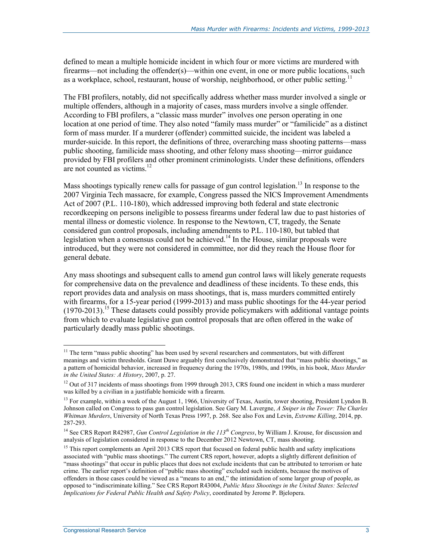defined to mean a multiple homicide incident in which four or more victims are murdered with firearms—not including the offender(s)—within one event, in one or more public locations, such as a workplace, school, restaurant, house of worship, neighborhood, or other public setting.<sup>11</sup>

The FBI profilers, notably, did not specifically address whether mass murder involved a single or multiple offenders, although in a majority of cases, mass murders involve a single offender. According to FBI profilers, a "classic mass murder" involves one person operating in one location at one period of time. They also noted "family mass murder" or "familicide" as a distinct form of mass murder. If a murderer (offender) committed suicide, the incident was labeled a murder-suicide. In this report, the definitions of three, overarching mass shooting patterns—mass public shooting, familicide mass shooting, and other felony mass shooting—mirror guidance provided by FBI profilers and other prominent criminologists. Under these definitions, offenders are not counted as victims. $12$ 

Mass shootings typically renew calls for passage of gun control legislation.<sup>13</sup> In response to the 2007 Virginia Tech massacre, for example, Congress passed the NICS Improvement Amendments Act of 2007 (P.L. 110-180), which addressed improving both federal and state electronic recordkeeping on persons ineligible to possess firearms under federal law due to past histories of mental illness or domestic violence. In response to the Newtown, CT, tragedy, the Senate considered gun control proposals, including amendments to P.L. 110-180, but tabled that legislation when a consensus could not be achieved.<sup>14</sup> In the House, similar proposals were introduced, but they were not considered in committee, nor did they reach the House floor for general debate.

Any mass shootings and subsequent calls to amend gun control laws will likely generate requests for comprehensive data on the prevalence and deadliness of these incidents. To these ends, this report provides data and analysis on mass shootings, that is, mass murders committed entirely with firearms, for a 15-year period (1999-2013) and mass public shootings for the 44-year period  $(1970-2013)$ <sup>15</sup> These datasets could possibly provide policymakers with additional vantage points from which to evaluate legislative gun control proposals that are often offered in the wake of particularly deadly mass public shootings.

<sup>&</sup>lt;sup>11</sup> The term "mass public shooting" has been used by several researchers and commentators, but with different meanings and victim thresholds. Grant Duwe arguably first conclusively demonstrated that "mass public shootings," as a pattern of homicidal behavior, increased in frequency during the 1970s, 1980s, and 1990s, in his book, *Mass Murder in the United States: A History*, 2007, p. 27.

 $12$  Out of 317 incidents of mass shootings from 1999 through 2013, CRS found one incident in which a mass murderer was killed by a civilian in a justifiable homicide with a firearm.

<sup>&</sup>lt;sup>13</sup> For example, within a week of the August 1, 1966, University of Texas, Austin, tower shooting, President Lyndon B. Johnson called on Congress to pass gun control legislation. See Gary M. Lavergne, *A Sniper in the Tower: The Charles Whitman Murders*, University of North Texas Press 1997, p. 268. See also Fox and Levin, *Extreme Killing*, 2014, pp. 287-293.

<sup>14</sup> See CRS Report R42987, *Gun Control Legislation in the 113th Congress*, by William J. Krouse, for discussion and analysis of legislation considered in response to the December 2012 Newtown, CT, mass shooting.

 $<sup>15</sup>$  This report complements an April 2013 CRS report that focused on federal public health and safety implications</sup> associated with "public mass shootings." The current CRS report, however, adopts a slightly different definition of "mass shootings" that occur in public places that does not exclude incidents that can be attributed to terrorism or hate crime. The earlier report's definition of "public mass shooting" excluded such incidents, because the motives of offenders in those cases could be viewed as a "means to an end," the intimidation of some larger group of people, as opposed to "indiscriminate killing." See CRS Report R43004, *Public Mass Shootings in the United States: Selected Implications for Federal Public Health and Safety Policy*, coordinated by Jerome P. Bjelopera.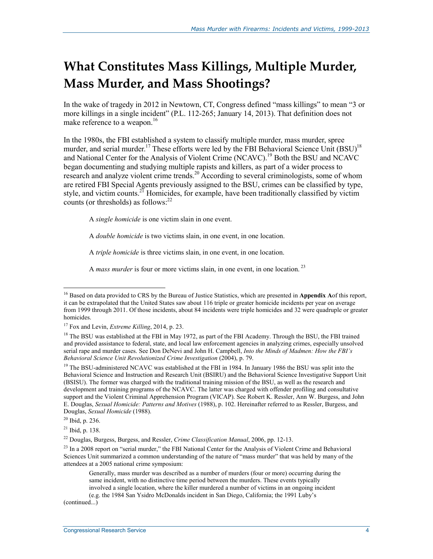# **What Constitutes Mass Killings, Multiple Murder, Mass Murder, and Mass Shootings?**

In the wake of tragedy in 2012 in Newtown, CT, Congress defined "mass killings" to mean "3 or more killings in a single incident" (P.L. 112-265; January 14, 2013). That definition does not make reference to a weapon.<sup>16</sup>

In the 1980s, the FBI established a system to classify multiple murder, mass murder, spree murder, and serial murder.<sup>17</sup> These efforts were led by the FBI Behavioral Science Unit (BSU)<sup>18</sup> and National Center for the Analysis of Violent Crime (NCAVC).<sup>19</sup> Both the BSU and NCAVC began documenting and studying multiple rapists and killers, as part of a wider process to research and analyze violent crime trends.<sup>20</sup> According to several criminologists, some of whom are retired FBI Special Agents previously assigned to the BSU, crimes can be classified by type, style, and victim counts.<sup>21</sup> Homicides, for example, have been traditionally classified by victim counts (or thresholds) as follows:<sup>22</sup>

A *single homicide* is one victim slain in one event.

A *double homicide* is two victims slain, in one event, in one location.

A *triple homicide* is three victims slain, in one event, in one location.

A *mass murder* is four or more victims slain, in one event, in one location. 23

1

(continued...)

<sup>16</sup> Based on data provided to CRS by the Bureau of Justice Statistics, which are presented in **Appendix A**of this report, it can be extrapolated that the United States saw about 116 triple or greater homicide incidents per year on average from 1999 through 2011. Of those incidents, about 84 incidents were triple homicides and 32 were quadruple or greater homicides.

<sup>17</sup> Fox and Levin, *Extreme Killing*, 2014, p. 23.

<sup>&</sup>lt;sup>18</sup> The BSU was established at the FBI in May 1972, as part of the FBI Academy. Through the BSU, the FBI trained and provided assistance to federal, state, and local law enforcement agencies in analyzing crimes, especially unsolved serial rape and murder cases. See Don DeNevi and John H. Campbell, *Into the Minds of Madmen: How the FBI's Behavioral Science Unit Revolutionized Crime Investigation* (2004), p. 79.

<sup>&</sup>lt;sup>19</sup> The BSU-administered NCAVC was established at the FBI in 1984. In January 1986 the BSU was split into the Behavioral Science and Instruction and Research Unit (BSIRU) and the Behavioral Science Investigative Support Unit (BSISU). The former was charged with the traditional training mission of the BSU, as well as the research and development and training programs of the NCAVC. The latter was charged with offender profiling and consultative support and the Violent Criminal Apprehension Program (VICAP). See Robert K. Ressler, Ann W. Burgess, and John E. Douglas, *Sexual Homicide: Patterns and Motives* (1988), p. 102. Hereinafter referred to as Ressler, Burgess, and Douglas, *Sexual Homicide* (1988).

 $20$  Ibid, p. 236.

 $21$  Ibid, p. 138.

<sup>22</sup> Douglas, Burgess, Burgess, and Ressler, *Crime Classification Manual*, 2006, pp. 12-13.

 $^{23}$  In a 2008 report on "serial murder," the FBI National Center for the Analysis of Violent Crime and Behavioral Sciences Unit summarized a common understanding of the nature of "mass murder" that was held by many of the attendees at a 2005 national crime symposium:

Generally, mass murder was described as a number of murders (four or more) occurring during the same incident, with no distinctive time period between the murders. These events typically involved a single location, where the killer murdered a number of victims in an ongoing incident (e.g. the 1984 San Ysidro McDonalds incident in San Diego, California; the 1991 Luby's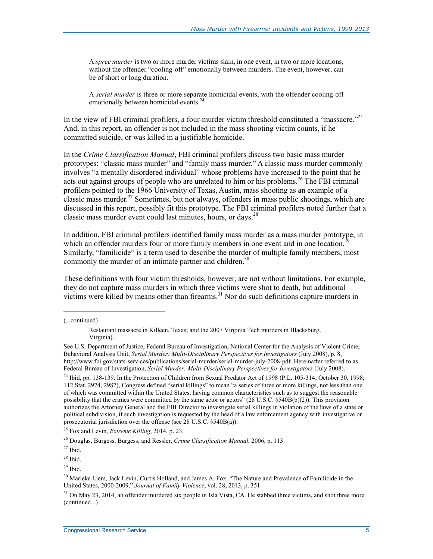A *spree murder* is two or more murder victims slain, in one event, in two or more locations, without the offender "cooling-off" emotionally between murders. The event, however, can be of short or long duration.

A *serial murder* is three or more separate homicidal events, with the offender cooling-off emotionally between homicidal events.<sup>24</sup>

In the view of FBI criminal profilers, a four-murder victim threshold constituted a "massacre."<sup>25</sup> And, in this report, an offender is not included in the mass shooting victim counts, if he committed suicide, or was killed in a justifiable homicide.

In the *Crime Classification Manual*, FBI criminal profilers discuss two basic mass murder prototypes: "classic mass murder" and "family mass murder." A classic mass murder commonly involves "a mentally disordered individual" whose problems have increased to the point that he acts out against groups of people who are unrelated to him or his problems.<sup>26</sup> The FBI criminal profilers pointed to the 1966 University of Texas, Austin, mass shooting as an example of a classic mass murder.<sup>27</sup> Sometimes, but not always, offenders in mass public shootings, which are discussed in this report, possibly fit this prototype. The FBI criminal profilers noted further that a classic mass murder event could last minutes, hours, or days.<sup>28</sup>

In addition, FBI criminal profilers identified family mass murder as a mass murder prototype, in which an offender murders four or more family members in one event and in one location.<sup>2</sup> Similarly, "familicide" is a term used to describe the murder of multiple family members, most commonly the murder of an intimate partner and children.<sup>30</sup>

These definitions with four victim thresholds, however, are not without limitations. For example, they do not capture mass murders in which three victims were shot to death, but additional victims were killed by means other than firearms.<sup>31</sup> Nor do such definitions capture murders in

(...continued)

Restaurant massacre in Killeen, Texas; and the 2007 Virginia Tech murders in Blacksburg, Virginia).

See U.S. Department of Justice, Federal Bureau of Investigation, National Center for the Analysis of Violent Crime, Behavioral Analysis Unit, *Serial Murder: Multi-Disciplinary Perspectives for Investigators* (July 2008), p. 8, http://www.fbi.gov/stats-services/publications/serial-murder/serial-murder-july-2008-pdf. Hereinafter referred to as Federal Bureau of Investigation, *Serial Murder: Multi-Disciplinary Perspectives for Investigators* (July 2008).

<sup>&</sup>lt;sup>24</sup> Ibid, pp. 138-139. In the Protection of Children from Sexual Predator Act of 1998 (P.L. 105-314; October 30, 1998; 112 Stat. 2974, 2987), Congress defined "serial killings" to mean "a series of three or more killings, not less than one of which was committed within the United States, having common characteristics such as to suggest the reasonable possibility that the crimes were committed by the same actor or actors" (28 U.S.C. §540B(b)(2)). This provision authorizes the Attorney General and the FBI Director to investigate serial killings in violation of the laws of a state or political subdivision, if such investigation is requested by the head of a law enforcement agency with investigative or prosecutorial jurisdiction over the offense (see 28 U.S.C. §540B(a)).

<sup>25</sup> Fox and Levin, *Extreme Killing*, 2014, p. 23.

<sup>26</sup> Douglas, Burgess, Burgess, and Ressler, *Crime Classification Manual*, 2006, p. 113.

 $27$  Ibid.

 $28$  Ibid.

 $29$  Ibid.

<sup>&</sup>lt;sup>30</sup> Marieke Liem, Jack Levin, Curtis Holland, and James A. Fox, "The Nature and Prevalence of Familicide in the United States, 2000-2009," *Journal of Family Violence*, vol. 28, 2013, p. 351.

 $31$  On May 23, 2014, an offender murdered six people in Isla Vista, CA. He stabbed three victims, and shot three more (continued...)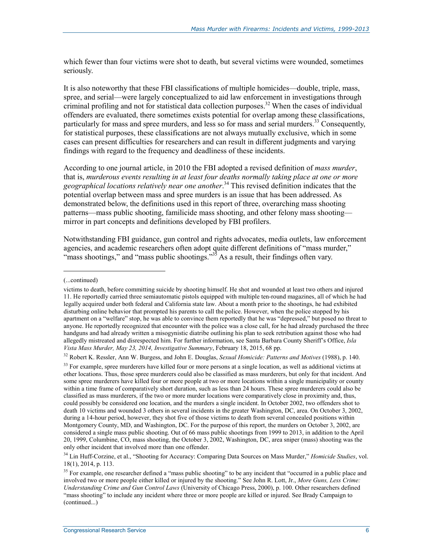which fewer than four victims were shot to death, but several victims were wounded, sometimes seriously.

It is also noteworthy that these FBI classifications of multiple homicides—double, triple, mass, spree, and serial—were largely conceptualized to aid law enforcement in investigations through criminal profiling and not for statistical data collection purposes.<sup>32</sup> When the cases of individual offenders are evaluated, there sometimes exists potential for overlap among these classifications, particularly for mass and spree murders, and less so for mass and serial murders.<sup>33</sup> Consequently, for statistical purposes, these classifications are not always mutually exclusive, which in some cases can present difficulties for researchers and can result in different judgments and varying findings with regard to the frequency and deadliness of these incidents.

According to one journal article, in 2010 the FBI adopted a revised definition of *mass murder*, that is, *murderous events resulting in at least four deaths normally taking place at one or more geographical locations relatively near one another*. 34 This revised definition indicates that the potential overlap between mass and spree murders is an issue that has been addressed. As demonstrated below, the definitions used in this report of three, overarching mass shooting patterns—mass public shooting, familicide mass shooting, and other felony mass shooting mirror in part concepts and definitions developed by FBI profilers.

Notwithstanding FBI guidance, gun control and rights advocates, media outlets, law enforcement agencies, and academic researchers often adopt quite different definitions of "mass murder," "mass shootings," and "mass public shootings."<sup>35</sup> As a result, their findings often vary.

 $\overline{\phantom{a}}$ 

32 Robert K. Ressler, Ann W. Burgess, and John E. Douglas, *Sexual Homicide: Patterns and Motives* (1988), p. 140.

<sup>(...</sup>continued)

victims to death, before committing suicide by shooting himself. He shot and wounded at least two others and injured 11. He reportedly carried three semiautomatic pistols equipped with multiple ten-round magazines, all of which he had legally acquired under both federal and California state law. About a month prior to the shootings, he had exhibited disturbing online behavior that prompted his parents to call the police. However, when the police stopped by his apartment on a "welfare" stop, he was able to convince them reportedly that he was "depressed," but posed no threat to anyone. He reportedly recognized that encounter with the police was a close call, for he had already purchased the three handguns and had already written a misogynistic diatribe outlining his plan to seek retribution against those who had allegedly mistreated and disrespected him. For further information, see Santa Barbara County Sheriff's Office, *Isla Vista Mass Murder, May 23, 2014, Investigative Summary*, February 18, 2015, 68 pp.

<sup>&</sup>lt;sup>33</sup> For example, spree murderers have killed four or more persons at a single location, as well as additional victims at other locations. Thus, those spree murderers could also be classified as mass murderers, but only for that incident. And some spree murderers have killed four or more people at two or more locations within a single municipality or county within a time frame of comparatively short duration, such as less than 24 hours. These spree murderers could also be classified as mass murderers, if the two or more murder locations were comparatively close in proximity and, thus, could possibly be considered one location, and the murders a single incident. In October 2002, two offenders shot to death 10 victims and wounded 3 others in several incidents in the greater Washington, DC, area. On October 3, 2002, during a 14-hour period, however, they shot five of those victims to death from several concealed positions within Montgomery County, MD, and Washington, DC. For the purpose of this report, the murders on October 3, 2002, are considered a single mass public shooting. Out of 66 mass public shootings from 1999 to 2013, in addition to the April 20, 1999, Columbine, CO, mass shooting, the October 3, 2002, Washington, DC, area sniper (mass) shooting was the only other incident that involved more than one offender.

<sup>34</sup> Lin Huff-Corzine, et al., "Shooting for Accuracy: Comparing Data Sources on Mass Murder," *Homicide Studies*, vol. 18(1), 2014, p. 113.

<sup>&</sup>lt;sup>35</sup> For example, one researcher defined a "mass public shooting" to be any incident that "occurred in a public place and involved two or more people either killed or injured by the shooting." See John R. Lott, Jr., *More Guns, Less Crime: Understanding Crime and Gun Control Laws* (University of Chicago Press, 2000), p. 100. Other researchers defined "mass shooting" to include any incident where three or more people are killed or injured. See Brady Campaign to (continued...)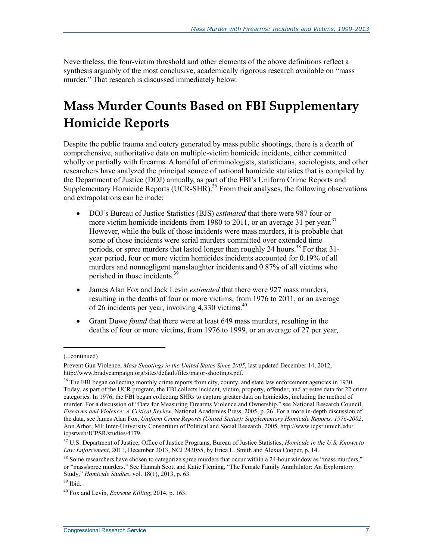Nevertheless, the four-victim threshold and other elements of the above definitions reflect a synthesis arguably of the most conclusive, academically rigorous research available on "mass murder." That research is discussed immediately below.

# **Mass Murder Counts Based on FBI Supplementary Homicide Reports**

Despite the public trauma and outcry generated by mass public shootings, there is a dearth of comprehensive, authoritative data on multiple-victim homicide incidents, either committed wholly or partially with firearms. A handful of criminologists, statisticians, sociologists, and other researchers have analyzed the principal source of national homicide statistics that is compiled by the Department of Justice (DOJ) annually, as part of the FBI's Uniform Crime Reports and Supplementary Homicide Reports (UCR-SHR).<sup>36</sup> From their analyses, the following observations and extrapolations can be made:

- DOJ's Bureau of Justice Statistics (BJS) *estimated* that there were 987 four or more victim homicide incidents from 1980 to 2011, or an average 31 per year.<sup>37</sup> However, while the bulk of those incidents were mass murders, it is probable that some of those incidents were serial murders committed over extended time periods, or spree murders that lasted longer than roughly 24 hours.<sup>38</sup> For that 31year period, four or more victim homicides incidents accounted for 0.19% of all murders and nonnegligent manslaughter incidents and 0.87% of all victims who perished in those incidents.39
- James Alan Fox and Jack Levin *estimated* that there were 927 mass murders, resulting in the deaths of four or more victims, from 1976 to 2011, or an average of 26 incidents per year, involving  $4,330$  victims.<sup>40</sup>
- Grant Duwe *found* that there were at least 649 mass murders, resulting in the deaths of four or more victims, from 1976 to 1999, or an average of 27 per year,

<sup>(...</sup>continued)

Prevent Gun Violence, *Mass Shootings in the United States Since 2005*, last updated December 14, 2012, http://www.bradycampaign.org/sites/default/files/major-shootings.pdf.

<sup>&</sup>lt;sup>36</sup> The FBI began collecting monthly crime reports from city, county, and state law enforcement agencies in 1930. Today, as part of the UCR program, the FBI collects incident, victim, property, offender, and arrestee data for 22 crime categories. In 1976, the FBI began collecting SHRs to capture greater data on homicides, including the method of murder. For a discussion of "Data for Measuring Firearms Violence and Ownership," see National Research Council, *Firearms and Violence: A Critical Review*, National Academies Press, 2005, p. 26. For a more in-depth discussion of the data, see James Alan Fox, *Uniform Crime Reports (United States): Supplementary Homicide Reports, 1976-2002*, Ann Arbor, MI: Inter-University Consortium of Political and Social Research, 2005, http://www.icpsr.umich.edu/ icpsrweb/ICPSR/studies/4179.

<sup>37</sup> U.S. Department of Justice, Office of Justice Programs, Bureau of Justice Statistics, *Homicide in the U.S. Known to Law Enforcement*, 2011, December 2013, NCJ 243055, by Erica L. Smith and Alexia Cooper, p. 14.

<sup>&</sup>lt;sup>38</sup> Some researchers have chosen to categorize spree murders that occur within a 24-hour window as "mass murders," or "mass/spree murders." See Hannah Scott and Katie Fleming, "The Female Family Annihilator: An Exploratory Study," *Homicide Studies*, vol. 18(1), 2013, p. 63.

 $39$  Ibid.

<sup>40</sup> Fox and Levin, *Extreme Killing*, 2014, p. 163.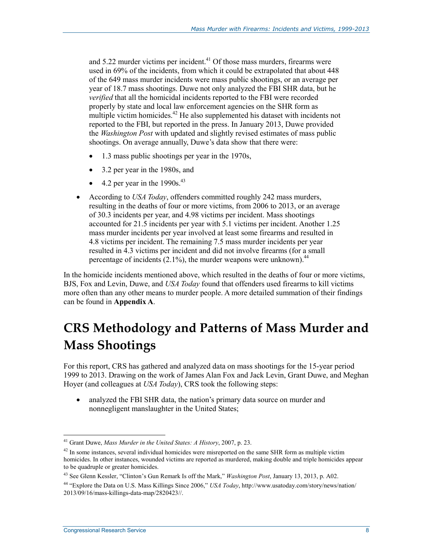and  $5.22$  murder victims per incident.<sup>41</sup> Of those mass murders, firearms were used in 69% of the incidents, from which it could be extrapolated that about 448 of the 649 mass murder incidents were mass public shootings, or an average per year of 18.7 mass shootings. Duwe not only analyzed the FBI SHR data, but he *verified* that all the homicidal incidents reported to the FBI were recorded properly by state and local law enforcement agencies on the SHR form as multiple victim homicides.<sup>42</sup> He also supplemented his dataset with incidents not reported to the FBI, but reported in the press. In January 2013, Duwe provided the *Washington Post* with updated and slightly revised estimates of mass public shootings. On average annually, Duwe's data show that there were:

- 1.3 mass public shootings per year in the 1970s,
- 3.2 per year in the 1980s, and
- $\bullet$  4.2 per year in the 1990s.<sup>43</sup>
- According to *USA Today*, offenders committed roughly 242 mass murders, resulting in the deaths of four or more victims, from 2006 to 2013, or an average of 30.3 incidents per year, and 4.98 victims per incident. Mass shootings accounted for 21.5 incidents per year with 5.1 victims per incident. Another 1.25 mass murder incidents per year involved at least some firearms and resulted in 4.8 victims per incident. The remaining 7.5 mass murder incidents per year resulted in 4.3 victims per incident and did not involve firearms (for a small percentage of incidents  $(2.1\%)$ , the murder weapons were unknown).<sup>44</sup>

In the homicide incidents mentioned above, which resulted in the deaths of four or more victims, BJS, Fox and Levin, Duwe, and *USA Today* found that offenders used firearms to kill victims more often than any other means to murder people. A more detailed summation of their findings can be found in **Appendix A**.

# **CRS Methodology and Patterns of Mass Murder and Mass Shootings**

For this report, CRS has gathered and analyzed data on mass shootings for the 15-year period 1999 to 2013. Drawing on the work of James Alan Fox and Jack Levin, Grant Duwe, and Meghan Hoyer (and colleagues at *USA Today*), CRS took the following steps:

• analyzed the FBI SHR data, the nation's primary data source on murder and nonnegligent manslaughter in the United States;

<sup>1</sup> 41 Grant Duwe, *Mass Murder in the United States: A History*, 2007, p. 23.

<sup>&</sup>lt;sup>42</sup> In some instances, several individual homicides were misreported on the same SHR form as multiple victim homicides. In other instances, wounded victims are reported as murdered, making double and triple homicides appear to be quadruple or greater homicides.

<sup>43</sup> See Glenn Kessler, "Clinton's Gun Remark Is off the Mark," *Washington Post*, January 13, 2013, p. A02.

<sup>44 &</sup>quot;Explore the Data on U.S. Mass Killings Since 2006," *USA Today*, http://www.usatoday.com/story/news/nation/ 2013/09/16/mass-killings-data-map/2820423//.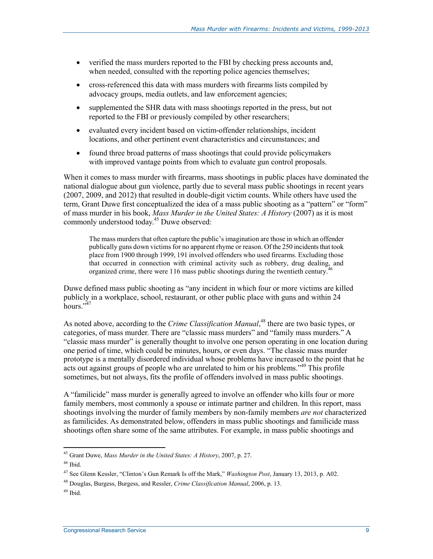- verified the mass murders reported to the FBI by checking press accounts and, when needed, consulted with the reporting police agencies themselves;
- cross-referenced this data with mass murders with firearms lists compiled by advocacy groups, media outlets, and law enforcement agencies;
- supplemented the SHR data with mass shootings reported in the press, but not reported to the FBI or previously compiled by other researchers;
- evaluated every incident based on victim-offender relationships, incident locations, and other pertinent event characteristics and circumstances; and
- found three broad patterns of mass shootings that could provide policymakers with improved vantage points from which to evaluate gun control proposals.

When it comes to mass murder with firearms, mass shootings in public places have dominated the national dialogue about gun violence, partly due to several mass public shootings in recent years (2007, 2009, and 2012) that resulted in double-digit victim counts. While others have used the term, Grant Duwe first conceptualized the idea of a mass public shooting as a "pattern" or "form" of mass murder in his book, *Mass Murder in the United States: A History* (2007) as it is most commonly understood today.<sup>45</sup> Duwe observed:

The mass murders that often capture the public's imagination are those in which an offender publically guns down victims for no apparent rhyme or reason. Of the 250 incidents that took place from 1900 through 1999, 191 involved offenders who used firearms. Excluding those that occurred in connection with criminal activity such as robbery, drug dealing, and organized crime, there were 116 mass public shootings during the twentieth century.<sup>4</sup>

Duwe defined mass public shooting as "any incident in which four or more victims are killed publicly in a workplace, school, restaurant, or other public place with guns and within 24  $h<sub>ours</sub>$   $\frac{.547}{.}$ 

As noted above, according to the *Crime Classification Manual*, 48 there are two basic types, or categories, of mass murder. There are "classic mass murders" and "family mass murders." A "classic mass murder" is generally thought to involve one person operating in one location during one period of time, which could be minutes, hours, or even days. "The classic mass murder prototype is a mentally disordered individual whose problems have increased to the point that he acts out against groups of people who are unrelated to him or his problems.<sup>349</sup> This profile sometimes, but not always, fits the profile of offenders involved in mass public shootings.

A "familicide" mass murder is generally agreed to involve an offender who kills four or more family members, most commonly a spouse or intimate partner and children. In this report, mass shootings involving the murder of family members by non-family members *are not* characterized as familicides. As demonstrated below, offenders in mass public shootings and familicide mass shootings often share some of the same attributes. For example, in mass public shootings and

<sup>45</sup> Grant Duwe, *Mass Murder in the United States: A History*, 2007, p. 27.

 $46$  Ibid.

<sup>47</sup> See Glenn Kessler, "Clinton's Gun Remark Is off the Mark," *Washington Post*, January 13, 2013, p. A02.

<sup>48</sup> Douglas, Burgess, Burgess, and Ressler, *Crime Classification Manual*, 2006, p. 13.

 $49$  Ibid.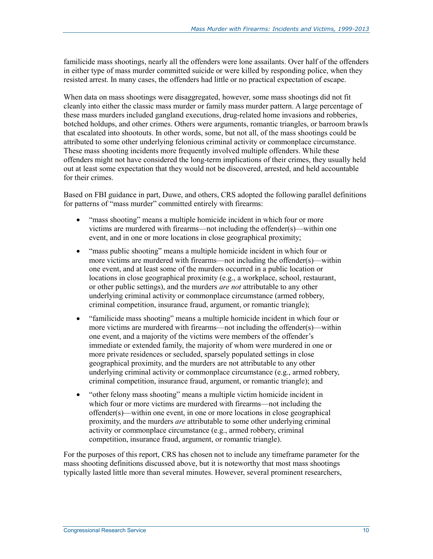familicide mass shootings, nearly all the offenders were lone assailants. Over half of the offenders in either type of mass murder committed suicide or were killed by responding police, when they resisted arrest. In many cases, the offenders had little or no practical expectation of escape.

When data on mass shootings were disaggregated, however, some mass shootings did not fit cleanly into either the classic mass murder or family mass murder pattern. A large percentage of these mass murders included gangland executions, drug-related home invasions and robberies, botched holdups, and other crimes. Others were arguments, romantic triangles, or barroom brawls that escalated into shootouts. In other words, some, but not all, of the mass shootings could be attributed to some other underlying felonious criminal activity or commonplace circumstance. These mass shooting incidents more frequently involved multiple offenders. While these offenders might not have considered the long-term implications of their crimes, they usually held out at least some expectation that they would not be discovered, arrested, and held accountable for their crimes.

Based on FBI guidance in part, Duwe, and others, CRS adopted the following parallel definitions for patterns of "mass murder" committed entirely with firearms:

- "mass shooting" means a multiple homicide incident in which four or more victims are murdered with firearms—not including the offender(s)—within one event, and in one or more locations in close geographical proximity;
- "mass public shooting" means a multiple homicide incident in which four or more victims are murdered with firearms—not including the offender(s)—within one event, and at least some of the murders occurred in a public location or locations in close geographical proximity (e.g., a workplace, school, restaurant, or other public settings), and the murders *are not* attributable to any other underlying criminal activity or commonplace circumstance (armed robbery, criminal competition, insurance fraud, argument, or romantic triangle);
- "familicide mass shooting" means a multiple homicide incident in which four or more victims are murdered with firearms—not including the offender(s)—within one event, and a majority of the victims were members of the offender's immediate or extended family, the majority of whom were murdered in one or more private residences or secluded, sparsely populated settings in close geographical proximity, and the murders are not attributable to any other underlying criminal activity or commonplace circumstance (e.g., armed robbery, criminal competition, insurance fraud, argument, or romantic triangle); and
- "other felony mass shooting" means a multiple victim homicide incident in which four or more victims are murdered with firearms—not including the offender(s)—within one event, in one or more locations in close geographical proximity, and the murders *are* attributable to some other underlying criminal activity or commonplace circumstance (e.g., armed robbery, criminal competition, insurance fraud, argument, or romantic triangle).

For the purposes of this report, CRS has chosen not to include any timeframe parameter for the mass shooting definitions discussed above, but it is noteworthy that most mass shootings typically lasted little more than several minutes. However, several prominent researchers,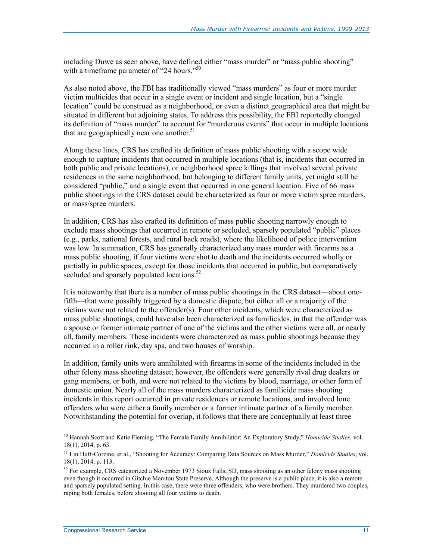including Duwe as seen above, have defined either "mass murder" or "mass public shooting" with a timeframe parameter of "24 hours."<sup>50</sup>

As also noted above, the FBI has traditionally viewed "mass murders" as four or more murder victim multicides that occur in a single event or incident and single location, but a "single location" could be construed as a neighborhood, or even a distinct geographical area that might be situated in different but adjoining states. To address this possibility, the FBI reportedly changed its definition of "mass murder" to account for "murderous events" that occur in multiple locations that are geographically near one another. $51$ 

Along these lines, CRS has crafted its definition of mass public shooting with a scope wide enough to capture incidents that occurred in multiple locations (that is, incidents that occurred in both public and private locations), or neighborhood spree killings that involved several private residences in the same neighborhood, but belonging to different family units, yet might still be considered "public," and a single event that occurred in one general location. Five of 66 mass public shootings in the CRS dataset could be characterized as four or more victim spree murders, or mass/spree murders.

In addition, CRS has also crafted its definition of mass public shooting narrowly enough to exclude mass shootings that occurred in remote or secluded, sparsely populated "public" places (e.g., parks, national forests, and rural back roads), where the likelihood of police intervention was low. In summation, CRS has generally characterized any mass murder with firearms as a mass public shooting, if four victims were shot to death and the incidents occurred wholly or partially in public spaces, except for those incidents that occurred in public, but comparatively secluded and sparsely populated locations.<sup>52</sup>

It is noteworthy that there is a number of mass public shootings in the CRS dataset—about onefifth—that were possibly triggered by a domestic dispute, but either all or a majority of the victims were not related to the offender(s). Four other incidents, which were characterized as mass public shootings, could have also been characterized as familicides, in that the offender was a spouse or former intimate partner of one of the victims and the other victims were all, or nearly all, family members. These incidents were characterized as mass public shootings because they occurred in a roller rink, day spa, and two houses of worship.

In addition, family units were annihilated with firearms in some of the incidents included in the other felony mass shooting dataset; however, the offenders were generally rival drug dealers or gang members, or both, and were not related to the victims by blood, marriage, or other form of domestic union. Nearly all of the mass murders characterized as familicide mass shooting incidents in this report occurred in private residences or remote locations, and involved lone offenders who were either a family member or a former intimate partner of a family member. Notwithstanding the potential for overlap, it follows that there are conceptually at least three

<sup>50</sup> Hannah Scott and Katie Fleming, "The Female Family Annihilator: An Exploratory Study," *Homicide Studies*, vol. 18(1), 2014, p. 63.

<sup>51</sup> Lin Huff-Corzine, et al., "Shooting for Accuracy: Comparing Data Sources on Mass Murder," *Homicide Studies*, vol. 18(1), 2014, p. 113.

 $52$  For example, CRS categorized a November 1973 Sioux Falls, SD, mass shooting as an other felony mass shooting even though it occurred in Gitchie Manitou State Preserve. Although the preserve is a public place, it is also a remote and sparsely populated setting. In this case, there were three offenders, who were brothers. They murdered two couples, raping both females, before shooting all four victims to death.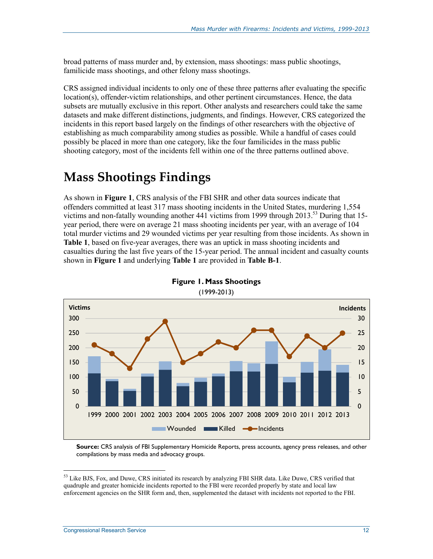broad patterns of mass murder and, by extension, mass shootings: mass public shootings, familicide mass shootings, and other felony mass shootings.

CRS assigned individual incidents to only one of these three patterns after evaluating the specific location(s), offender-victim relationships, and other pertinent circumstances. Hence, the data subsets are mutually exclusive in this report. Other analysts and researchers could take the same datasets and make different distinctions, judgments, and findings. However, CRS categorized the incidents in this report based largely on the findings of other researchers with the objective of establishing as much comparability among studies as possible. While a handful of cases could possibly be placed in more than one category, like the four familicides in the mass public shooting category, most of the incidents fell within one of the three patterns outlined above.

## **Mass Shootings Findings**

As shown in **Figure 1**, CRS analysis of the FBI SHR and other data sources indicate that offenders committed at least 317 mass shooting incidents in the United States, murdering 1,554 victims and non-fatally wounding another  $441$  victims from 1999 through 2013.<sup>53</sup> During that 15year period, there were on average 21 mass shooting incidents per year, with an average of 104 total murder victims and 29 wounded victims per year resulting from those incidents. As shown in **Table 1**, based on five-year averages, there was an uptick in mass shooting incidents and casualties during the last five years of the 15-year period. The annual incident and casualty counts shown in **Figure 1** and underlying **Table 1** are provided in **Table B-1**.



**Figure 1. Mass Shootings**  (1999-2013)

**Source:** CRS analysis of FBI Supplementary Homicide Reports, press accounts, agency press releases, and other compilations by mass media and advocacy groups.

<sup>&</sup>lt;sup>53</sup> Like BJS, Fox, and Duwe, CRS initiated its research by analyzing FBI SHR data. Like Duwe, CRS verified that quadruple and greater homicide incidents reported to the FBI were recorded properly by state and local law enforcement agencies on the SHR form and, then, supplemented the dataset with incidents not reported to the FBI.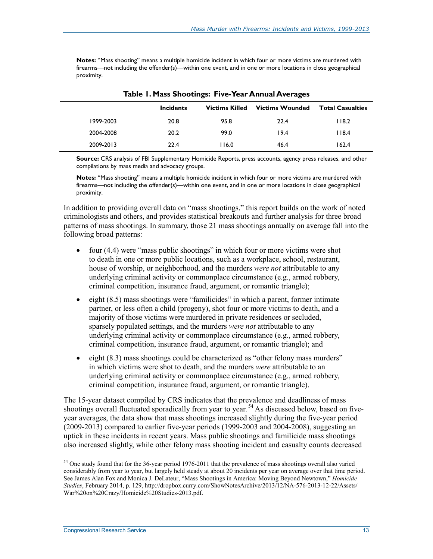**Notes:** "Mass shooting" means a multiple homicide incident in which four or more victims are murdered with firearms—not including the offender(s)—within one event, and in one or more locations in close geographical proximity.

|           |                  | . .<br>. .            |                        |                         |
|-----------|------------------|-----------------------|------------------------|-------------------------|
|           | <b>Incidents</b> | <b>Victims Killed</b> | <b>Victims Wounded</b> | <b>Total Casualties</b> |
| 1999-2003 | 20.8             | 95.8                  | 22.4                   | 118.2                   |
| 2004-2008 | 20.2             | 99.0                  | 19.4                   | 118.4                   |
| 2009-2013 | 22.4             | 116.0                 | 46.4                   | 162.4                   |

**Table 1. Mass Shootings: Five-Year Annual Averages** 

**Source:** CRS analysis of FBI Supplementary Homicide Reports, press accounts, agency press releases, and other compilations by mass media and advocacy groups.

**Notes:** "Mass shooting" means a multiple homicide incident in which four or more victims are murdered with firearms—not including the offender(s)—within one event, and in one or more locations in close geographical proximity.

In addition to providing overall data on "mass shootings," this report builds on the work of noted criminologists and others, and provides statistical breakouts and further analysis for three broad patterns of mass shootings. In summary, those 21 mass shootings annually on average fall into the following broad patterns:

- four (4.4) were "mass public shootings" in which four or more victims were shot to death in one or more public locations, such as a workplace, school, restaurant, house of worship, or neighborhood, and the murders *were not* attributable to any underlying criminal activity or commonplace circumstance (e.g., armed robbery, criminal competition, insurance fraud, argument, or romantic triangle);
- eight  $(8.5)$  mass shootings were "familicides" in which a parent, former intimate partner, or less often a child (progeny), shot four or more victims to death, and a majority of those victims were murdered in private residences or secluded, sparsely populated settings, and the murders *were not* attributable to any underlying criminal activity or commonplace circumstance (e.g., armed robbery, criminal competition, insurance fraud, argument, or romantic triangle); and
- eight (8.3) mass shootings could be characterized as "other felony mass murders" in which victims were shot to death, and the murders *were* attributable to an underlying criminal activity or commonplace circumstance (e.g., armed robbery, criminal competition, insurance fraud, argument, or romantic triangle).

The 15-year dataset compiled by CRS indicates that the prevalence and deadliness of mass shootings overall fluctuated sporadically from year to year.<sup>54</sup> As discussed below, based on fiveyear averages, the data show that mass shootings increased slightly during the five-year period (2009-2013) compared to earlier five-year periods (1999-2003 and 2004-2008), suggesting an uptick in these incidents in recent years. Mass public shootings and familicide mass shootings also increased slightly, while other felony mass shooting incident and casualty counts decreased

<sup>&</sup>lt;sup>54</sup> One study found that for the 36-year period 1976-2011 that the prevalence of mass shootings overall also varied considerably from year to year, but largely held steady at about 20 incidents per year on average over that time period. See James Alan Fox and Monica J. DeLateur, "Mass Shootings in America: Moving Beyond Newtown," *Homicide Studies*, February 2014, p. 129, http://dropbox.curry.com/ShowNotesArchive/2013/12/NA-576-2013-12-22/Assets/ War%20on%20Crazy/Homicide%20Studies-2013.pdf.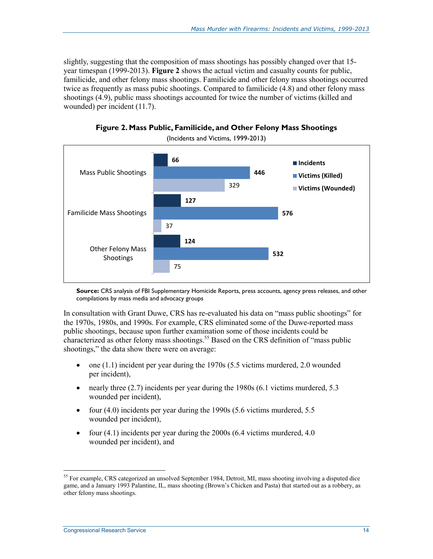slightly, suggesting that the composition of mass shootings has possibly changed over that 15 year timespan (1999-2013). **Figure 2** shows the actual victim and casualty counts for public, familicide, and other felony mass shootings. Familicide and other felony mass shootings occurred twice as frequently as mass pubic shootings. Compared to familicide (4.8) and other felony mass shootings (4.9), public mass shootings accounted for twice the number of victims (killed and wounded) per incident (11.7).



**Figure 2. Mass Public, Familicide, and Other Felony Mass Shootings** 

(Incidents and Victims, 1999-2013)

**Source:** CRS analysis of FBI Supplementary Homicide Reports, press accounts, agency press releases, and other compilations by mass media and advocacy groups

In consultation with Grant Duwe, CRS has re-evaluated his data on "mass public shootings" for the 1970s, 1980s, and 1990s. For example, CRS eliminated some of the Duwe-reported mass public shootings, because upon further examination some of those incidents could be characterized as other felony mass shootings.<sup>55</sup> Based on the CRS definition of "mass public" shootings," the data show there were on average:

- one (1.1) incident per year during the 1970s (5.5 victims murdered, 2.0 wounded per incident),
- nearly three  $(2.7)$  incidents per year during the 1980s  $(6.1)$  victims murdered, 5.3 wounded per incident),
- four  $(4.0)$  incidents per year during the 1990s  $(5.6$  victims murdered,  $5.5$ wounded per incident),
- four  $(4.1)$  incidents per year during the 2000s  $(6.4$  victims murdered,  $4.0$ wounded per incident), and

<sup>&</sup>lt;sup>55</sup> For example, CRS categorized an unsolved September 1984, Detroit, MI, mass shooting involving a disputed dice game, and a January 1993 Palantine, IL, mass shooting (Brown's Chicken and Pasta) that started out as a robbery, as other felony mass shootings.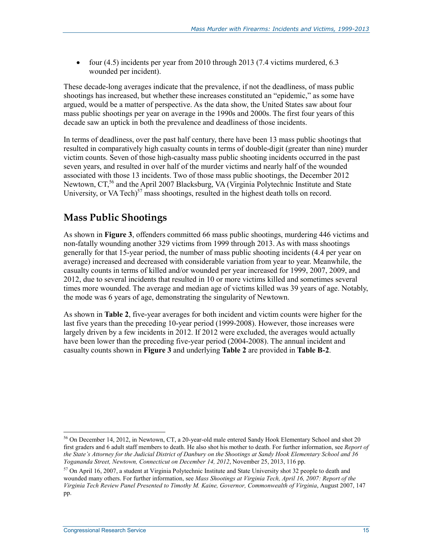• four (4.5) incidents per year from 2010 through 2013 (7.4 victims murdered, 6.3 wounded per incident).

These decade-long averages indicate that the prevalence, if not the deadliness, of mass public shootings has increased, but whether these increases constituted an "epidemic," as some have argued, would be a matter of perspective. As the data show, the United States saw about four mass public shootings per year on average in the 1990s and 2000s. The first four years of this decade saw an uptick in both the prevalence and deadliness of those incidents.

In terms of deadliness, over the past half century, there have been 13 mass public shootings that resulted in comparatively high casualty counts in terms of double-digit (greater than nine) murder victim counts. Seven of those high-casualty mass public shooting incidents occurred in the past seven years, and resulted in over half of the murder victims and nearly half of the wounded associated with those 13 incidents. Two of those mass public shootings, the December 2012 Newtown, CT,<sup>56</sup> and the April 2007 Blacksburg, VA (Virginia Polytechnic Institute and State University, or VA Tech) $57$  mass shootings, resulted in the highest death tolls on record.

### **Mass Public Shootings**

As shown in **Figure 3**, offenders committed 66 mass public shootings, murdering 446 victims and non-fatally wounding another 329 victims from 1999 through 2013. As with mass shootings generally for that 15-year period, the number of mass public shooting incidents (4.4 per year on average) increased and decreased with considerable variation from year to year. Meanwhile, the casualty counts in terms of killed and/or wounded per year increased for 1999, 2007, 2009, and 2012, due to several incidents that resulted in 10 or more victims killed and sometimes several times more wounded. The average and median age of victims killed was 39 years of age. Notably, the mode was 6 years of age, demonstrating the singularity of Newtown.

As shown in **Table 2**, five-year averages for both incident and victim counts were higher for the last five years than the preceding 10-year period (1999-2008). However, those increases were largely driven by a few incidents in 2012. If 2012 were excluded, the averages would actually have been lower than the preceding five-year period (2004-2008). The annual incident and casualty counts shown in **Figure 3** and underlying **Table 2** are provided in **Table B-2**.

<sup>56</sup> On December 14, 2012, in Newtown, CT, a 20-year-old male entered Sandy Hook Elementary School and shot 20 first graders and 6 adult staff members to death. He also shot his mother to death. For further information, see *Report of the State's Attorney for the Judicial District of Danbury on the Shootings at Sandy Hook Elementary School and 36 Yogananda Street, Newtown, Connecticut on December 14, 2012*, November 25, 2013, 116 pp.

<sup>&</sup>lt;sup>57</sup> On April 16, 2007, a student at Virginia Polytechnic Institute and State University shot 32 people to death and wounded many others. For further information, see *Mass Shootings at Virginia Tech, April 16, 2007: Report of the Virginia Tech Review Panel Presented to Timothy M. Kaine, Governor, Commonwealth of Virginia*, August 2007, 147 pp.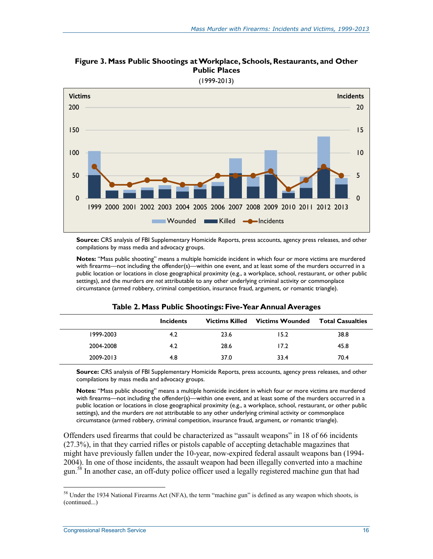

**Figure 3. Mass Public Shootings at Workplace, Schools, Restaurants, and Other Public Places** 

**Source:** CRS analysis of FBI Supplementary Homicide Reports, press accounts, agency press releases, and other compilations by mass media and advocacy groups.

**Notes:** "Mass public shooting" means a multiple homicide incident in which four or more victims are murdered with firearms—not including the offender(s)—within one event, and at least some of the murders occurred in a public location or locations in close geographical proximity (e.g., a workplace, school, restaurant, or other public settings), and the murders *are not* attributable to any other underlying criminal activity or commonplace circumstance (armed robbery, criminal competition, insurance fraud, argument, or romantic triangle).

|           | <b>Incidents</b> | <b>Victims Killed</b> | Victims Wounded | <b>Total Casualties</b> |
|-----------|------------------|-----------------------|-----------------|-------------------------|
| 1999-2003 | 4.2              | 23.6                  | 15.2            | 38.8                    |
| 2004-2008 | 4.2              | 28.6                  | 17.2            | 45.8                    |
| 2009-2013 | 4.8              | 37.0                  | 33.4            | 70.4                    |

#### **Table 2. Mass Public Shootings: Five-Year Annual Averages**

**Source:** CRS analysis of FBI Supplementary Homicide Reports, press accounts, agency press releases, and other compilations by mass media and advocacy groups.

**Notes:** "Mass public shooting" means a multiple homicide incident in which four or more victims are murdered with firearms—not including the offender(s)—within one event, and at least some of the murders occurred in a public location or locations in close geographical proximity (e.g., a workplace, school, restaurant, or other public settings), and the murders *are not* attributable to any other underlying criminal activity or commonplace circumstance (armed robbery, criminal competition, insurance fraud, argument, or romantic triangle).

Offenders used firearms that could be characterized as "assault weapons" in 18 of 66 incidents (27.3%), in that they carried rifles or pistols capable of accepting detachable magazines that might have previously fallen under the 10-year, now-expired federal assault weapons ban (1994- 2004). In one of those incidents, the assault weapon had been illegally converted into a machine gun.<sup>58</sup> In another case, an off-duty police officer used a legally registered machine gun that had

 $58$  Under the 1934 National Firearms Act (NFA), the term "machine gun" is defined as any weapon which shoots, is (continued...)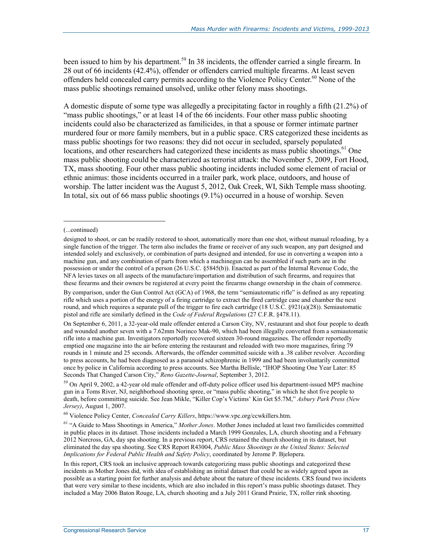been issued to him by his department.<sup>59</sup> In 38 incidents, the offender carried a single firearm. In 28 out of 66 incidents (42.4%), offender or offenders carried multiple firearms. At least seven offenders held concealed carry permits according to the Violence Policy Center.<sup>60</sup> None of the mass public shootings remained unsolved, unlike other felony mass shootings.

A domestic dispute of some type was allegedly a precipitating factor in roughly a fifth (21.2%) of "mass public shootings," or at least 14 of the 66 incidents. Four other mass public shooting incidents could also be characterized as familicides, in that a spouse or former intimate partner murdered four or more family members, but in a public space. CRS categorized these incidents as mass public shootings for two reasons: they did not occur in secluded, sparsely populated locations, and other researchers had categorized these incidents as mass public shootings.<sup>61</sup> One mass public shooting could be characterized as terrorist attack: the November 5, 2009, Fort Hood, TX, mass shooting. Four other mass public shooting incidents included some element of racial or ethnic animus: those incidents occurred in a trailer park, work place, outdoors, and house of worship. The latter incident was the August 5, 2012, Oak Creek, WI, Sikh Temple mass shooting. In total, six out of 66 mass public shootings (9.1%) occurred in a house of worship. Seven

1

By comparison, under the Gun Control Act (GCA) of 1968, the term "semiautomatic rifle" is defined as any repeating rifle which uses a portion of the energy of a firing cartridge to extract the fired cartridge case and chamber the next round, and which requires a separate pull of the trigger to fire each cartridge (18 U.S.C. §921(a)(28)). Semiautomatic pistol and rifle are similarly defined in the *Code of Federal Regulations* (27 C.F.R. §478.11).

On September 6, 2011, a 32-year-old male offender entered a Carson City, NV, restaurant and shot four people to death and wounded another seven with a 7.62mm Norinco Mak-90, which had been illegally converted from a semiautomatic rifle into a machine gun. Investigators reportedly recovered sixteen 30-round magazines. The offender reportedly emptied one magazine into the air before entering the restaurant and reloaded with two more magazines, firing 79 rounds in 1 minute and 25 seconds. Afterwards, the offender committed suicide with a .38 caliber revolver. According to press accounts, he had been diagnosed as a paranoid schizophrenic in 1999 and had been involuntarily committed once by police in California according to press accounts. See Martha Bellisle, "IHOP Shooting One Year Later: 85 Seconds That Changed Carson City," *Reno Gazette-Journal*, September 3, 2012.

<sup>(...</sup>continued)

designed to shoot, or can be readily restored to shoot, automatically more than one shot, without manual reloading, by a single function of the trigger. The term also includes the frame or receiver of any such weapon, any part designed and intended solely and exclusively, or combination of parts designed and intended, for use in converting a weapon into a machine gun, and any combination of parts from which a machinegun can be assembled if such parts are in the possession or under the control of a person (26 U.S.C. §5845(b)). Enacted as part of the Internal Revenue Code, the NFA levies taxes on all aspects of the manufacture/importation and distribution of such firearms, and requires that these firearms and their owners be registered at every point the firearms change ownership in the chain of commerce.

 $59$  On April 9, 2002, a 42-year old male offender and off-duty police officer used his department-issued MP5 machine gun in a Toms River, NJ, neighborhood shooting spree, or "mass public shooting," in which he shot five people to death, before committing suicide. See Jean Mikle, "Killer Cop's Victims' Kin Get \$5.7M," *Asbury Park Press (New Jersey)*, August 1, 2007.

<sup>60</sup> Violence Policy Center, *Concealed Carry Killers*, https://www.vpc.org/ccwkillers.htm.

<sup>61 &</sup>quot;A Guide to Mass Shootings in America," *Mother Jones*. Mother Jones included at least two familicides committed in public places in its dataset. Those incidents included a March 1999 Gonzales, LA, church shooting and a February 2012 Norcross, GA, day spa shooting. In a previous report, CRS retained the church shooting in its dataset, but eliminated the day spa shooting. See CRS Report R43004, *Public Mass Shootings in the United States: Selected Implications for Federal Public Health and Safety Policy*, coordinated by Jerome P. Bjelopera.

In this report, CRS took an inclusive approach towards categorizing mass public shootings and categorized these incidents as Mother Jones did, with idea of establishing an initial dataset that could be as widely agreed upon as possible as a starting point for further analysis and debate about the nature of these incidents. CRS found two incidents that were very similar to these incidents, which are also included in this report's mass public shootings dataset. They included a May 2006 Baton Rouge, LA, church shooting and a July 2011 Grand Prairie, TX, roller rink shooting.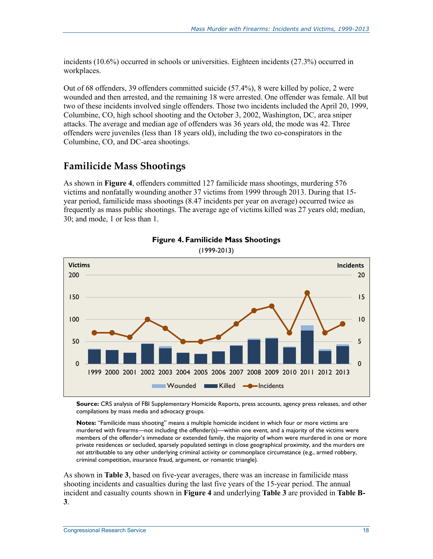incidents (10.6%) occurred in schools or universities. Eighteen incidents (27.3%) occurred in workplaces.

Out of 68 offenders, 39 offenders committed suicide (57.4%), 8 were killed by police, 2 were wounded and then arrested, and the remaining 18 were arrested. One offender was female. All but two of these incidents involved single offenders. Those two incidents included the April 20, 1999, Columbine, CO, high school shooting and the October 3, 2002, Washington, DC, area sniper attacks. The average and median age of offenders was 36 years old, the mode was 42. Three offenders were juveniles (less than 18 years old), including the two co-conspirators in the Columbine, CO, and DC-area shootings.

### **Familicide Mass Shootings**

As shown in **Figure 4**, offenders committed 127 familicide mass shootings, murdering 576 victims and nonfatally wounding another 37 victims from 1999 through 2013. During that 15 year period, familicide mass shootings (8.47 incidents per year on average) occurred twice as frequently as mass public shootings. The average age of victims killed was 27 years old; median, 30; and mode, 1 or less than 1.



### **Figure 4. Familicide Mass Shootings**

**Source:** CRS analysis of FBI Supplementary Homicide Reports, press accounts, agency press releases, and other compilations by mass media and advocacy groups.

**Notes:** "Familicide mass shooting" means a multiple homicide incident in which four or more victims are murdered with firearms—not including the offender(s)—within one event, and a majority of the victims were members of the offender's immediate or extended family, the majority of whom were murdered in one or more private residences or secluded, sparsely populated settings in close geographical proximity, and the murders *are not* attributable to any other underlying criminal activity or commonplace circumstance (e.g., armed robbery, criminal competition, insurance fraud, argument, or romantic triangle).

As shown in **Table 3**, based on five-year averages, there was an increase in familicide mass shooting incidents and casualties during the last five years of the 15-year period. The annual incident and casualty counts shown in **Figure 4** and underlying **Table 3** are provided in **Table B-3**.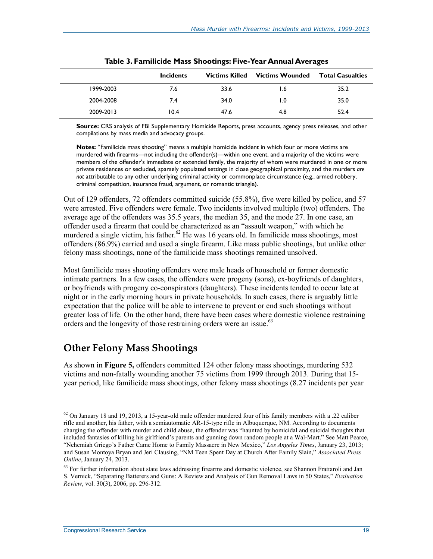|           | <b>Incidents</b> | <b>Victims Killed</b> | Victims Wounded | <b>Total Casualties</b> |
|-----------|------------------|-----------------------|-----------------|-------------------------|
| 1999-2003 | 7.6              | 33.6                  | I.6             | 35.2                    |
| 2004-2008 | 7.4              | 34.0                  | 1.0             | 35.0                    |
| 2009-2013 | 10.4             | 47.6                  | 4.8             | 52.4                    |

| Table 3. Familicide Mass Shootings: Five-Year Annual Averages |  |  |  |  |  |
|---------------------------------------------------------------|--|--|--|--|--|
|---------------------------------------------------------------|--|--|--|--|--|

**Source:** CRS analysis of FBI Supplementary Homicide Reports, press accounts, agency press releases, and other compilations by mass media and advocacy groups.

**Notes:** "Familicide mass shooting" means a multiple homicide incident in which four or more victims are murdered with firearms—not including the offender(s)—within one event, and a majority of the victims were members of the offender's immediate or extended family, the majority of whom were murdered in one or more private residences or secluded, sparsely populated settings in close geographical proximity, and the murders *are not* attributable to any other underlying criminal activity or commonplace circumstance (e.g., armed robbery, criminal competition, insurance fraud, argument, or romantic triangle).

Out of 129 offenders, 72 offenders committed suicide (55.8%), five were killed by police, and 57 were arrested. Five offenders were female. Two incidents involved multiple (two) offenders. The average age of the offenders was 35.5 years, the median 35, and the mode 27. In one case, an offender used a firearm that could be characterized as an "assault weapon," with which he murdered a single victim, his father.<sup>62</sup> He was 16 years old. In familicide mass shootings, most offenders (86.9%) carried and used a single firearm. Like mass public shootings, but unlike other felony mass shootings, none of the familicide mass shootings remained unsolved.

Most familicide mass shooting offenders were male heads of household or former domestic intimate partners. In a few cases, the offenders were progeny (sons), ex-boyfriends of daughters, or boyfriends with progeny co-conspirators (daughters). These incidents tended to occur late at night or in the early morning hours in private households. In such cases, there is arguably little expectation that the police will be able to intervene to prevent or end such shootings without greater loss of life. On the other hand, there have been cases where domestic violence restraining orders and the longevity of those restraining orders were an issue.<sup>63</sup>

#### **Other Felony Mass Shootings**

As shown in **Figure 5,** offenders committed 124 other felony mass shootings, murdering 532 victims and non-fatally wounding another 75 victims from 1999 through 2013. During that 15 year period, like familicide mass shootings, other felony mass shootings (8.27 incidents per year

 $62$  On January 18 and 19, 2013, a 15-year-old male offender murdered four of his family members with a .22 caliber rifle and another, his father, with a semiautomatic AR-15-type rifle in Albuquerque, NM. According to documents charging the offender with murder and child abuse, the offender was "haunted by homicidal and suicidal thoughts that included fantasies of killing his girlfriend's parents and gunning down random people at a Wal-Mart." See Matt Pearce, "Nehemiah Griego's Father Came Home to Family Massacre in New Mexico," *Los Angeles Times*, January 23, 2013; and Susan Montoya Bryan and Jeri Clausing, "NM Teen Spent Day at Church After Family Slain," *Associated Press Online*, January 24, 2013.

<sup>&</sup>lt;sup>63</sup> For further information about state laws addressing firearms and domestic violence, see Shannon Frattaroli and Jan S. Vernick, "Separating Batterers and Guns: A Review and Analysis of Gun Removal Laws in 50 States," *Evaluation Review*, vol. 30(3), 2006, pp. 296-312.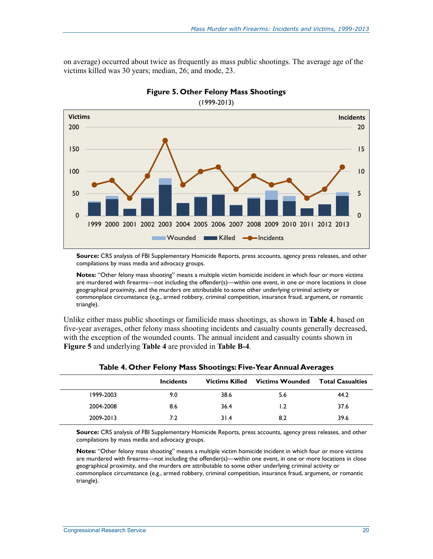on average) occurred about twice as frequently as mass public shootings. The average age of the victims killed was 30 years; median, 26; and mode, 23.

![](_page_24_Figure_2.jpeg)

**Figure 5. Other Felony Mass Shootings** 

(1999-2013)

**Source:** CRS analysis of FBI Supplementary Homicide Reports, press accounts, agency press releases, and other compilations by mass media and advocacy groups.

**Notes:** "Other felony mass shooting" means a multiple victim homicide incident in which four or more victims are murdered with firearms—not including the offender(s)—within one event, in one or more locations in close geographical proximity, and the murders *are* attributable to some other underlying criminal activity or commonplace circumstance (e.g., armed robbery, criminal competition, insurance fraud, argument, or romantic triangle).

Unlike either mass public shootings or familicide mass shootings, as shown in **Table 4**, based on five-year averages, other felony mass shooting incidents and casualty counts generally decreased, with the exception of the wounded counts. The annual incident and casualty counts shown in **Figure 5** and underlying **Table 4** are provided in **Table B-4**.

|           | <b>Incidents</b> |      | <b>Victims Killed</b> Victims Wounded | <b>Total Casualties</b> |
|-----------|------------------|------|---------------------------------------|-------------------------|
| 1999-2003 | 9.0              | 38.6 | 5.6                                   | 44.2                    |
| 2004-2008 | 8.6              | 36.4 | 1.2                                   | 37.6                    |
| 2009-2013 | 7.2              | 31.4 | 8.2                                   | 39.6                    |

|  |  | Table 4. Other Felony Mass Shootings: Five-Year Annual Averages |  |  |
|--|--|-----------------------------------------------------------------|--|--|
|  |  |                                                                 |  |  |

**Source:** CRS analysis of FBI Supplementary Homicide Reports, press accounts, agency press releases, and other compilations by mass media and advocacy groups.

**Notes:** "Other felony mass shooting" means a multiple victim homicide incident in which four or more victims are murdered with firearms—not including the offender(s)—within one event, in one or more locations in close geographical proximity, and the murders *are* attributable to some other underlying criminal activity or commonplace circumstance (e.g., armed robbery, criminal competition, insurance fraud, argument, or romantic triangle).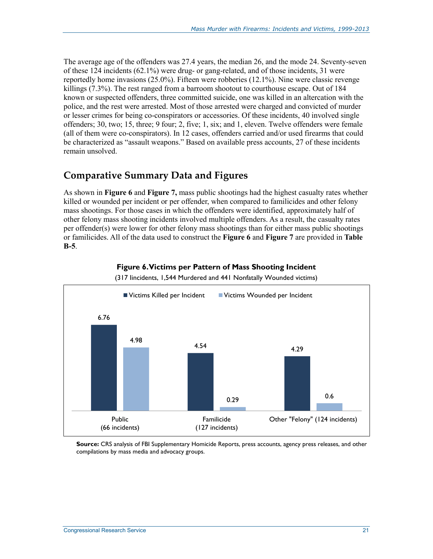The average age of the offenders was 27.4 years, the median 26, and the mode 24. Seventy-seven of these 124 incidents (62.1%) were drug- or gang-related, and of those incidents, 31 were reportedly home invasions (25.0%). Fifteen were robberies (12.1%). Nine were classic revenge killings (7.3%). The rest ranged from a barroom shootout to courthouse escape. Out of 184 known or suspected offenders, three committed suicide, one was killed in an altercation with the police, and the rest were arrested. Most of those arrested were charged and convicted of murder or lesser crimes for being co-conspirators or accessories. Of these incidents, 40 involved single offenders; 30, two; 15, three; 9 four; 2, five; 1, six; and 1, eleven. Twelve offenders were female (all of them were co-conspirators). In 12 cases, offenders carried and/or used firearms that could be characterized as "assault weapons." Based on available press accounts, 27 of these incidents remain unsolved.

### **Comparative Summary Data and Figures**

As shown in **Figure 6** and **Figure 7,** mass public shootings had the highest casualty rates whether killed or wounded per incident or per offender, when compared to familicides and other felony mass shootings. For those cases in which the offenders were identified, approximately half of other felony mass shooting incidents involved multiple offenders. As a result, the casualty rates per offender(s) were lower for other felony mass shootings than for either mass public shootings or familicides. All of the data used to construct the **Figure 6** and **Figure 7** are provided in **Table B-5**.

![](_page_25_Figure_4.jpeg)

**Figure 6. Victims per Pattern of Mass Shooting Incident** 

(317 Iincidents, 1,544 Murdered and 441 Nonfatally Wounded victims)

**Source:** CRS analysis of FBI Supplementary Homicide Reports, press accounts, agency press releases, and other compilations by mass media and advocacy groups.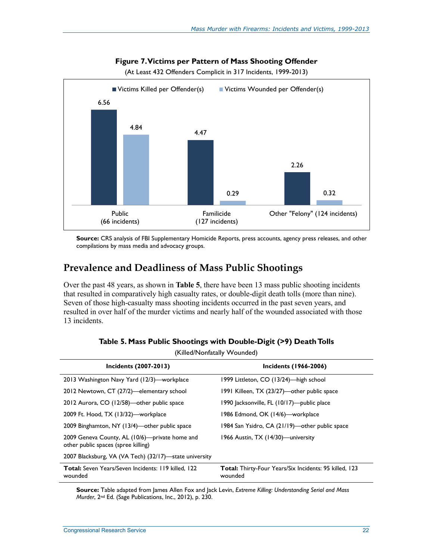![](_page_26_Figure_1.jpeg)

**Figure 7. Victims per Pattern of Mass Shooting Offender** 

(At Least 432 Offenders Complicit in 317 Incidents, 1999-2013)

**Source:** CRS analysis of FBI Supplementary Homicide Reports, press accounts, agency press releases, and other compilations by mass media and advocacy groups.

#### **Prevalence and Deadliness of Mass Public Shootings**

Over the past 48 years, as shown in **Table 5**, there have been 13 mass public shooting incidents that resulted in comparatively high casualty rates, or double-digit death tolls (more than nine). Seven of those high-casualty mass shooting incidents occurred in the past seven years, and resulted in over half of the murder victims and nearly half of the wounded associated with those 13 incidents.

|                                                                                       | INIICUITUIIIALAII) YYVUITUCUJ                                            |  |  |  |  |  |  |  |  |  |
|---------------------------------------------------------------------------------------|--------------------------------------------------------------------------|--|--|--|--|--|--|--|--|--|
| Incidents (2007-2013)                                                                 | <b>Incidents (1966-2006)</b>                                             |  |  |  |  |  |  |  |  |  |
| 2013 Washington Navy Yard (12/3)—workplace                                            | 1999 Littleton, CO (13/24)—high school                                   |  |  |  |  |  |  |  |  |  |
| 2012 Newtown, CT (27/2)—elementary school                                             | 1991 Killeen, TX (23/27)—other public space                              |  |  |  |  |  |  |  |  |  |
| 2012 Aurora, CO (12/58)—other public space                                            | 1990 Jacksonville, FL (10/17)—public place                               |  |  |  |  |  |  |  |  |  |
| 2009 Ft. Hood, TX (13/32)—workplace                                                   | 1986 Edmond, OK (14/6)—workplace                                         |  |  |  |  |  |  |  |  |  |
| 2009 Binghamton, NY (13/4)—other public space                                         | 1984 San Ysidro, CA (21/19)—other public space                           |  |  |  |  |  |  |  |  |  |
| 2009 Geneva County, AL (10/6)—private home and<br>other public spaces (spree killing) | 1966 Austin, TX (14/30)—university                                       |  |  |  |  |  |  |  |  |  |
| 2007 Blacksburg, VA (VA Tech) (32/17)—state university                                |                                                                          |  |  |  |  |  |  |  |  |  |
| <b>Total:</b> Seven Years/Seven Incidents: 119 killed, 122<br>wounded                 | <b>Total:</b> Thirty-Four Years/Six Incidents: 95 killed, 123<br>wounded |  |  |  |  |  |  |  |  |  |

**Table 5. Mass Public Shootings with Double-Digit (>9) Death Tolls** 

(Killed/Nonfatally Wounded)

**Source:** Table adapted from James Allen Fox and Jack Levin, *Extreme Killing: Understanding Serial and Mass Murder*, 2nd Ed. (Sage Publications, Inc., 2012), p. 230.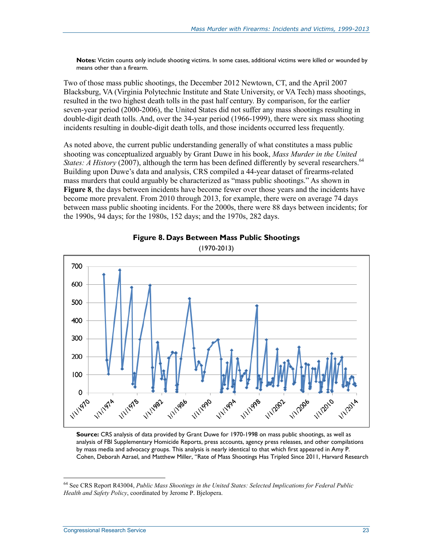**Notes:** Victim counts only include shooting victims. In some cases, additional victims were killed or wounded by means other than a firearm.

Two of those mass public shootings, the December 2012 Newtown, CT, and the April 2007 Blacksburg, VA (Virginia Polytechnic Institute and State University, or VA Tech) mass shootings, resulted in the two highest death tolls in the past half century. By comparison, for the earlier seven-year period (2000-2006), the United States did not suffer any mass shootings resulting in double-digit death tolls. And, over the 34-year period (1966-1999), there were six mass shooting incidents resulting in double-digit death tolls, and those incidents occurred less frequently.

As noted above, the current public understanding generally of what constitutes a mass public shooting was conceptualized arguably by Grant Duwe in his book, *Mass Murder in the United States: A History* (2007), although the term has been defined differently by several researchers.<sup>64</sup> Building upon Duwe's data and analysis, CRS compiled a 44-year dataset of firearms-related mass murders that could arguably be characterized as "mass public shootings." As shown in **Figure 8**, the days between incidents have become fewer over those years and the incidents have become more prevalent. From 2010 through 2013, for example, there were on average 74 days between mass public shooting incidents. For the 2000s, there were 88 days between incidents; for the 1990s, 94 days; for the 1980s, 152 days; and the 1970s, 282 days.

![](_page_27_Figure_4.jpeg)

![](_page_27_Figure_5.jpeg)

**Source:** CRS analysis of data provided by Grant Duwe for 1970-1998 on mass public shootings, as well as analysis of FBI Supplementary Homicide Reports, press accounts, agency press releases, and other compilations by mass media and advocacy groups. This analysis is nearly identical to that which first appeared in Amy P. Cohen, Deborah Azrael, and Matthew Miller, "Rate of Mass Shootings Has Tripled Since 2011, Harvard Research

<sup>64</sup> See CRS Report R43004, *Public Mass Shootings in the United States: Selected Implications for Federal Public Health and Safety Policy*, coordinated by Jerome P. Bjelopera.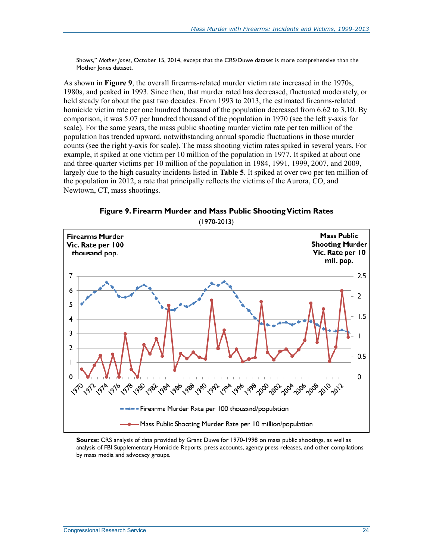Shows," *Mother Jones*, October 15, 2014, except that the CRS/Duwe dataset is more comprehensive than the Mother Jones dataset.

As shown in **Figure 9**, the overall firearms-related murder victim rate increased in the 1970s, 1980s, and peaked in 1993. Since then, that murder rated has decreased, fluctuated moderately, or held steady for about the past two decades. From 1993 to 2013, the estimated firearms-related homicide victim rate per one hundred thousand of the population decreased from 6.62 to 3.10. By comparison, it was 5.07 per hundred thousand of the population in 1970 (see the left y-axis for scale). For the same years, the mass public shooting murder victim rate per ten million of the population has trended upward, notwithstanding annual sporadic fluctuations in those murder counts (see the right y-axis for scale). The mass shooting victim rates spiked in several years. For example, it spiked at one victim per 10 million of the population in 1977. It spiked at about one and three-quarter victims per 10 million of the population in 1984, 1991, 1999, 2007, and 2009, largely due to the high casualty incidents listed in **Table 5**. It spiked at over two per ten million of the population in 2012, a rate that principally reflects the victims of the Aurora, CO, and Newtown, CT, mass shootings.

**Figure 9. Firearm Murder and Mass Public Shooting Victim Rates**  (1970-2013)

![](_page_28_Figure_4.jpeg)

**Source:** CRS analysis of data provided by Grant Duwe for 1970-1998 on mass public shootings, as well as analysis of FBI Supplementary Homicide Reports, press accounts, agency press releases, and other compilations by mass media and advocacy groups.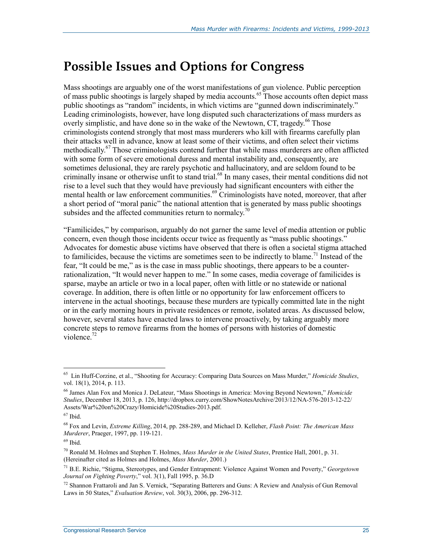## **Possible Issues and Options for Congress**

Mass shootings are arguably one of the worst manifestations of gun violence. Public perception of mass public shootings is largely shaped by media accounts.<sup>65</sup> Those accounts often depict mass public shootings as "random" incidents, in which victims are "gunned down indiscriminately." Leading criminologists, however, have long disputed such characterizations of mass murders as overly simplistic, and have done so in the wake of the Newtown, CT, tragedy.<sup>66</sup> Those criminologists contend strongly that most mass murderers who kill with firearms carefully plan their attacks well in advance, know at least some of their victims, and often select their victims methodically.<sup>67</sup> Those criminologists contend further that while mass murderers are often afflicted with some form of severe emotional duress and mental instability and, consequently, are sometimes delusional, they are rarely psychotic and hallucinatory, and are seldom found to be criminally insane or otherwise unfit to stand trial.<sup>68</sup> In many cases, their mental conditions did not rise to a level such that they would have previously had significant encounters with either the mental health or law enforcement communities.<sup>69</sup> Criminologists have noted, moreover, that after a short period of "moral panic" the national attention that is generated by mass public shootings subsides and the affected communities return to normalcy.<sup>70</sup>

"Familicides," by comparison, arguably do not garner the same level of media attention or public concern, even though those incidents occur twice as frequently as "mass public shootings." Advocates for domestic abuse victims have observed that there is often a societal stigma attached to familicides, because the victims are sometimes seen to be indirectly to blame.<sup>71</sup> Instead of the fear, "It could be me," as is the case in mass public shootings, there appears to be a counterrationalization, "It would never happen to me." In some cases, media coverage of familicides is sparse, maybe an article or two in a local paper, often with little or no statewide or national coverage. In addition, there is often little or no opportunity for law enforcement officers to intervene in the actual shootings, because these murders are typically committed late in the night or in the early morning hours in private residences or remote, isolated areas. As discussed below, however, several states have enacted laws to intervene proactively, by taking arguably more concrete steps to remove firearms from the homes of persons with histories of domestic violence. $72$ 

<sup>65</sup> Lin Huff-Corzine, et al., "Shooting for Accuracy: Comparing Data Sources on Mass Murder," *Homicide Studies*, vol. 18(1), 2014, p. 113.

<sup>66</sup> James Alan Fox and Monica J. DeLateur, "Mass Shootings in America: Moving Beyond Newtown," *Homicide Studies*, December 18, 2013, p. 126, http://dropbox.curry.com/ShowNotesArchive/2013/12/NA-576-2013-12-22/ Assets/War%20on%20Crazy/Homicide%20Studies-2013.pdf.

<sup>67</sup> Ibid.

<sup>68</sup> Fox and Levin, *Extreme Killing*, 2014, pp. 288-289, and Michael D. Kelleher, *Flash Point: The American Mass Murderer*, Praeger, 1997, pp. 119-121.

 $69$  Ibid.

<sup>70</sup> Ronald M. Holmes and Stephen T. Holmes, *Mass Murder in the United States*, Prentice Hall, 2001, p. 31. (Hereinafter cited as Holmes and Holmes, *Mass Murder*, 2001.)

<sup>71</sup> B.E. Richie, "Stigma, Stereotypes, and Gender Entrapment: Violence Against Women and Poverty," *Georgetown Journal on Fighting Poverty*," vol. 3(1), Fall 1995, p. 36.D

 $^{72}$  Shannon Frattaroli and Jan S. Vernick, "Separating Batterers and Guns: A Review and Analysis of Gun Removal Laws in 50 States," *Evaluation Review*, vol. 30(3), 2006, pp. 296-312.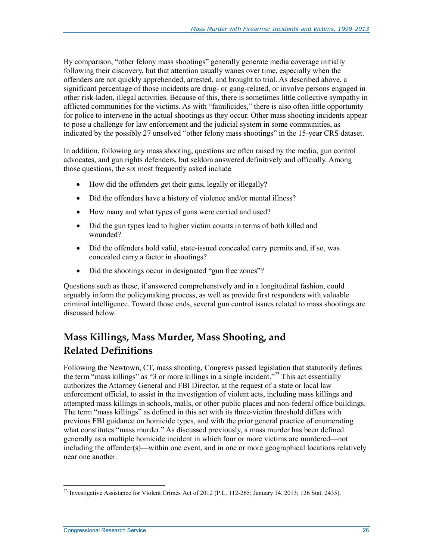By comparison, "other felony mass shootings" generally generate media coverage initially following their discovery, but that attention usually wanes over time, especially when the offenders are not quickly apprehended, arrested, and brought to trial. As described above, a significant percentage of those incidents are drug- or gang-related, or involve persons engaged in other risk-laden, illegal activities. Because of this, there is sometimes little collective sympathy in afflicted communities for the victims. As with "familicides," there is also often little opportunity for police to intervene in the actual shootings as they occur. Other mass shooting incidents appear to pose a challenge for law enforcement and the judicial system in some communities, as indicated by the possibly 27 unsolved "other felony mass shootings" in the 15-year CRS dataset.

In addition, following any mass shooting, questions are often raised by the media, gun control advocates, and gun rights defenders, but seldom answered definitively and officially. Among those questions, the six most frequently asked include

- How did the offenders get their guns, legally or illegally?
- Did the offenders have a history of violence and/or mental illness?
- How many and what types of guns were carried and used?
- Did the gun types lead to higher victim counts in terms of both killed and wounded?
- Did the offenders hold valid, state-issued concealed carry permits and, if so, was concealed carry a factor in shootings?
- Did the shootings occur in designated "gun free zones"?

Questions such as these, if answered comprehensively and in a longitudinal fashion, could arguably inform the policymaking process, as well as provide first responders with valuable criminal intelligence. Toward those ends, several gun control issues related to mass shootings are discussed below.

### **Mass Killings, Mass Murder, Mass Shooting, and Related Definitions**

Following the Newtown, CT, mass shooting, Congress passed legislation that statutorily defines the term "mass killings" as "3 or more killings in a single incident."<sup>73</sup> This act essentially authorizes the Attorney General and FBI Director, at the request of a state or local law enforcement official, to assist in the investigation of violent acts, including mass killings and attempted mass killings in schools, malls, or other public places and non-federal office buildings. The term "mass killings" as defined in this act with its three-victim threshold differs with previous FBI guidance on homicide types, and with the prior general practice of enumerating what constitutes "mass murder." As discussed previously, a mass murder has been defined generally as a multiple homicide incident in which four or more victims are murdered—not including the offender(s)—within one event, and in one or more geographical locations relatively near one another.

<sup>&</sup>lt;u>.</u> <sup>73</sup> Investigative Assistance for Violent Crimes Act of 2012 (P.L. 112-265; January 14, 2013; 126 Stat. 2435).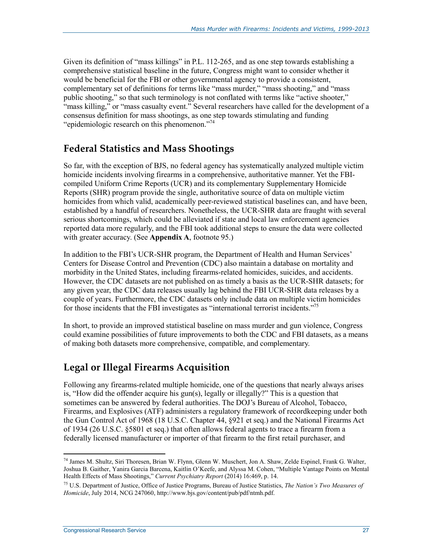Given its definition of "mass killings" in P.L. 112-265, and as one step towards establishing a comprehensive statistical baseline in the future, Congress might want to consider whether it would be beneficial for the FBI or other governmental agency to provide a consistent, complementary set of definitions for terms like "mass murder," "mass shooting," and "mass public shooting," so that such terminology is not conflated with terms like "active shooter," "mass killing," or "mass casualty event." Several researchers have called for the development of a consensus definition for mass shootings, as one step towards stimulating and funding "epidemiologic research on this phenomenon."<sup>74</sup>

### **Federal Statistics and Mass Shootings**

So far, with the exception of BJS, no federal agency has systematically analyzed multiple victim homicide incidents involving firearms in a comprehensive, authoritative manner. Yet the FBIcompiled Uniform Crime Reports (UCR) and its complementary Supplementary Homicide Reports (SHR) program provide the single, authoritative source of data on multiple victim homicides from which valid, academically peer-reviewed statistical baselines can, and have been, established by a handful of researchers. Nonetheless, the UCR-SHR data are fraught with several serious shortcomings, which could be alleviated if state and local law enforcement agencies reported data more regularly, and the FBI took additional steps to ensure the data were collected with greater accuracy. (See **Appendix A**, footnote 95.)

In addition to the FBI's UCR-SHR program, the Department of Health and Human Services' Centers for Disease Control and Prevention (CDC) also maintain a database on mortality and morbidity in the United States, including firearms-related homicides, suicides, and accidents. However, the CDC datasets are not published on as timely a basis as the UCR-SHR datasets; for any given year, the CDC data releases usually lag behind the FBI UCR-SHR data releases by a couple of years. Furthermore, the CDC datasets only include data on multiple victim homicides for those incidents that the FBI investigates as "international terrorist incidents."<sup>75</sup>

In short, to provide an improved statistical baseline on mass murder and gun violence, Congress could examine possibilities of future improvements to both the CDC and FBI datasets, as a means of making both datasets more comprehensive, compatible, and complementary.

### **Legal or Illegal Firearms Acquisition**

Following any firearms-related multiple homicide, one of the questions that nearly always arises is, "How did the offender acquire his gun(s), legally or illegally?" This is a question that sometimes can be answered by federal authorities. The DOJ's Bureau of Alcohol, Tobacco, Firearms, and Explosives (ATF) administers a regulatory framework of recordkeeping under both the Gun Control Act of 1968 (18 U.S.C. Chapter 44, §921 et seq.) and the National Firearms Act of 1934 (26 U.S.C. §5801 et seq.) that often allows federal agents to trace a firearm from a federally licensed manufacturer or importer of that firearm to the first retail purchaser, and

<sup>74</sup> James M. Shultz, Siri Thoresen, Brian W. Flynn, Glenn W. Muschert, Jon A. Shaw, Zelde Espinel, Frank G. Walter, Joshua B. Gaither, Yanira Garcia Barcena, Kaitlin O'Keefe, and Alyssa M. Cohen, "Multiple Vantage Points on Mental Health Effects of Mass Shootings," *Current Psychiatry Report* (2014) 16:469, p. 14.

<sup>75</sup> U.S. Department of Justice, Office of Justice Programs, Bureau of Justice Statistics, *The Nation's Two Measures of Homicide*, July 2014, NCG 247060, http://www.bjs.gov/content/pub/pdf/ntmh.pdf.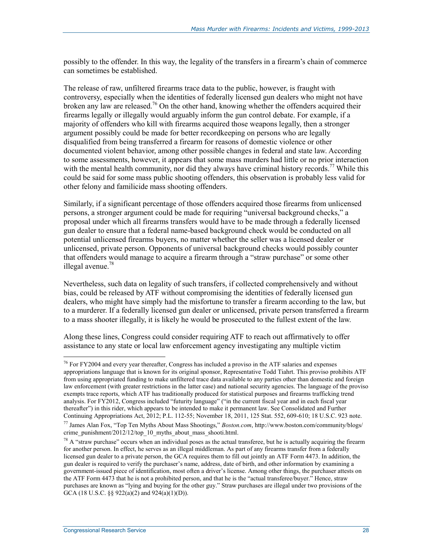possibly to the offender. In this way, the legality of the transfers in a firearm's chain of commerce can sometimes be established.

The release of raw, unfiltered firearms trace data to the public, however, is fraught with controversy, especially when the identities of federally licensed gun dealers who might not have broken any law are released.<sup>76</sup> On the other hand, knowing whether the offenders acquired their firearms legally or illegally would arguably inform the gun control debate. For example, if a majority of offenders who kill with firearms acquired those weapons legally, then a stronger argument possibly could be made for better recordkeeping on persons who are legally disqualified from being transferred a firearm for reasons of domestic violence or other documented violent behavior, among other possible changes in federal and state law. According to some assessments, however, it appears that some mass murders had little or no prior interaction with the mental health community, nor did they always have criminal history records.<sup>77</sup> While this could be said for some mass public shooting offenders, this observation is probably less valid for other felony and familicide mass shooting offenders.

Similarly, if a significant percentage of those offenders acquired those firearms from unlicensed persons, a stronger argument could be made for requiring "universal background checks," a proposal under which all firearms transfers would have to be made through a federally licensed gun dealer to ensure that a federal name-based background check would be conducted on all potential unlicensed firearms buyers, no matter whether the seller was a licensed dealer or unlicensed, private person. Opponents of universal background checks would possibly counter that offenders would manage to acquire a firearm through a "straw purchase" or some other illegal avenue. $78$ 

Nevertheless, such data on legality of such transfers, if collected comprehensively and without bias, could be released by ATF without compromising the identities of federally licensed gun dealers, who might have simply had the misfortune to transfer a firearm according to the law, but to a murderer. If a federally licensed gun dealer or unlicensed, private person transferred a firearm to a mass shooter illegally, it is likely he would be prosecuted to the fullest extent of the law.

Along these lines, Congress could consider requiring ATF to reach out affirmatively to offer assistance to any state or local law enforcement agency investigating any multiple victim

<sup>&</sup>lt;sup>76</sup> For FY2004 and every year thereafter, Congress has included a proviso in the ATF salaries and expenses appropriations language that is known for its original sponsor, Representative Todd Tiahrt. This proviso prohibits ATF from using appropriated funding to make unfiltered trace data available to any parties other than domestic and foreign law enforcement (with greater restrictions in the latter case) and national security agencies. The language of the proviso exempts trace reports, which ATF has traditionally produced for statistical purposes and firearms trafficking trend analysis. For FY2012, Congress included "futurity language" ("in the current fiscal year and in each fiscal year thereafter") in this rider, which appears to be intended to make it permanent law. See Consolidated and Further Continuing Appropriations Act, 2012; P.L. 112-55; November 18, 2011, 125 Stat. 552, 609-610; 18 U.S.C. 923 note.

<sup>77</sup> James Alan Fox, "Top Ten Myths About Mass Shootings," *Boston.com*, http://www.boston.com/community/blogs/ crime\_punishment/2012/12/top\_10\_myths\_about\_mass\_shooti.html.

 $78$  A "straw purchase" occurs when an individual poses as the actual transferee, but he is actually acquiring the firearm for another person. In effect, he serves as an illegal middleman. As part of any firearms transfer from a federally licensed gun dealer to a private person, the GCA requires them to fill out jointly an ATF Form 4473. In addition, the gun dealer is required to verify the purchaser's name, address, date of birth, and other information by examining a government-issued piece of identification, most often a driver's license. Among other things, the purchaser attests on the ATF Form 4473 that he is not a prohibited person, and that he is the "actual transferee/buyer." Hence, straw purchases are known as "lying and buying for the other guy." Straw purchases are illegal under two provisions of the GCA (18 U.S.C. §§ 922(a)(2) and 924(a)(1)(D)).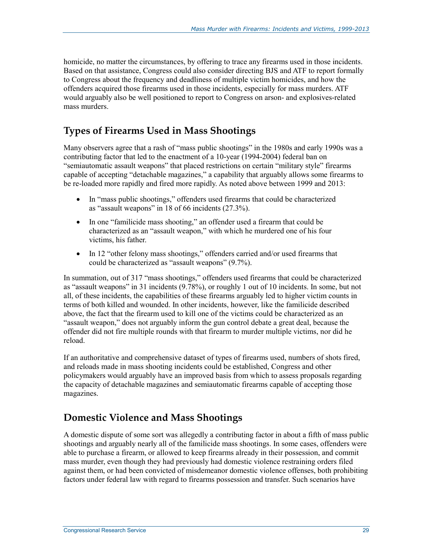homicide, no matter the circumstances, by offering to trace any firearms used in those incidents. Based on that assistance, Congress could also consider directing BJS and ATF to report formally to Congress about the frequency and deadliness of multiple victim homicides, and how the offenders acquired those firearms used in those incidents, especially for mass murders. ATF would arguably also be well positioned to report to Congress on arson- and explosives-related mass murders.

### **Types of Firearms Used in Mass Shootings**

Many observers agree that a rash of "mass public shootings" in the 1980s and early 1990s was a contributing factor that led to the enactment of a 10-year (1994-2004) federal ban on "semiautomatic assault weapons" that placed restrictions on certain "military style" firearms capable of accepting "detachable magazines," a capability that arguably allows some firearms to be re-loaded more rapidly and fired more rapidly. As noted above between 1999 and 2013:

- In "mass public shootings," offenders used firearms that could be characterized as "assault weapons" in 18 of 66 incidents (27.3%).
- In one "familicide mass shooting," an offender used a firearm that could be characterized as an "assault weapon," with which he murdered one of his four victims, his father.
- In 12 "other felony mass shootings," offenders carried and/or used firearms that could be characterized as "assault weapons" (9.7%).

In summation, out of 317 "mass shootings," offenders used firearms that could be characterized as "assault weapons" in 31 incidents (9.78%), or roughly 1 out of 10 incidents. In some, but not all, of these incidents, the capabilities of these firearms arguably led to higher victim counts in terms of both killed and wounded. In other incidents, however, like the familicide described above, the fact that the firearm used to kill one of the victims could be characterized as an "assault weapon," does not arguably inform the gun control debate a great deal, because the offender did not fire multiple rounds with that firearm to murder multiple victims, nor did he reload.

If an authoritative and comprehensive dataset of types of firearms used, numbers of shots fired, and reloads made in mass shooting incidents could be established, Congress and other policymakers would arguably have an improved basis from which to assess proposals regarding the capacity of detachable magazines and semiautomatic firearms capable of accepting those magazines.

#### **Domestic Violence and Mass Shootings**

A domestic dispute of some sort was allegedly a contributing factor in about a fifth of mass public shootings and arguably nearly all of the familicide mass shootings. In some cases, offenders were able to purchase a firearm, or allowed to keep firearms already in their possession, and commit mass murder, even though they had previously had domestic violence restraining orders filed against them, or had been convicted of misdemeanor domestic violence offenses, both prohibiting factors under federal law with regard to firearms possession and transfer. Such scenarios have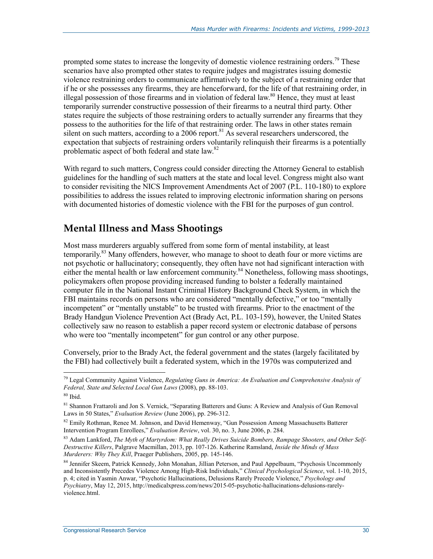prompted some states to increase the longevity of domestic violence restraining orders.<sup>79</sup> These scenarios have also prompted other states to require judges and magistrates issuing domestic violence restraining orders to communicate affirmatively to the subject of a restraining order that if he or she possesses any firearms, they are henceforward, for the life of that restraining order, in illegal possession of those firearms and in violation of federal law.<sup>80</sup> Hence, they must at least temporarily surrender constructive possession of their firearms to a neutral third party. Other states require the subjects of those restraining orders to actually surrender any firearms that they possess to the authorities for the life of that restraining order. The laws in other states remain silent on such matters, according to a 2006 report.<sup>81</sup> As several researchers underscored, the expectation that subjects of restraining orders voluntarily relinquish their firearms is a potentially problematic aspect of both federal and state law.<sup>82</sup>

With regard to such matters, Congress could consider directing the Attorney General to establish guidelines for the handling of such matters at the state and local level. Congress might also want to consider revisiting the NICS Improvement Amendments Act of 2007 (P.L. 110-180) to explore possibilities to address the issues related to improving electronic information sharing on persons with documented histories of domestic violence with the FBI for the purposes of gun control.

#### **Mental Illness and Mass Shootings**

Most mass murderers arguably suffered from some form of mental instability, at least temporarily.<sup>83</sup> Many offenders, however, who manage to shoot to death four or more victims are not psychotic or hallucinatory; consequently, they often have not had significant interaction with either the mental health or law enforcement community.<sup>84</sup> Nonetheless, following mass shootings, policymakers often propose providing increased funding to bolster a federally maintained computer file in the National Instant Criminal History Background Check System, in which the FBI maintains records on persons who are considered "mentally defective," or too "mentally incompetent" or "mentally unstable" to be trusted with firearms. Prior to the enactment of the Brady Handgun Violence Prevention Act (Brady Act, P.L. 103-159), however, the United States collectively saw no reason to establish a paper record system or electronic database of persons who were too "mentally incompetent" for gun control or any other purpose.

Conversely, prior to the Brady Act, the federal government and the states (largely facilitated by the FBI) had collectively built a federated system, which in the 1970s was computerized and

<sup>79</sup> Legal Community Against Violence, *Regulating Guns in America: An Evaluation and Comprehensive Analysis of Federal, State and Selected Local Gun Laws* (2008), pp. 88-103.

 $80$  Ibid.

<sup>81</sup> Shannon Frattaroli and Jon S. Vernick, "Separating Batterers and Guns: A Review and Analysis of Gun Removal Laws in 50 States," *Evaluation Review* (June 2006), pp. 296-312.

 $82$  Emily Rothman, Renee M. Johnson, and David Hemenway, "Gun Possession Among Massachusetts Batterer Intervention Program Enrollees," *Evaluation Review*, vol. 30, no. 3, June 2006, p. 284.

<sup>83</sup> Adam Lankford, *The Myth of Martyrdom: What Really Drives Suicide Bombers, Rampage Shooters, and Other Self-Destructive Killers*, Palgrave Macmillan, 2013, pp. 107-126. Katherine Ramsland, *Inside the Minds of Mass Murderers: Why They Kill*, Praeger Publishers, 2005, pp. 145-146.

<sup>84</sup> Jennifer Skeem, Patrick Kennedy, John Monahan, Jillian Peterson, and Paul Appelbaum, "Psychosis Uncommonly and Inconsistently Precedes Violence Among High-Risk Individuals," *Clinical Psychological Science*, vol. 1-10, 2015, p. 4; cited in Yasmin Anwar, "Psychotic Hallucinations, Delusions Rarely Precede Violence," *Psychology and Psychiatry*, May 12, 2015, http://medicalxpress.com/news/2015-05-psychotic-hallucinations-delusions-rarelyviolence.html.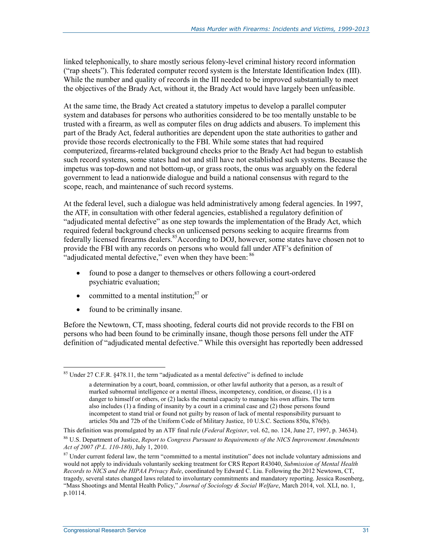linked telephonically, to share mostly serious felony-level criminal history record information ("rap sheets"). This federated computer record system is the Interstate Identification Index (III). While the number and quality of records in the III needed to be improved substantially to meet the objectives of the Brady Act, without it, the Brady Act would have largely been unfeasible.

At the same time, the Brady Act created a statutory impetus to develop a parallel computer system and databases for persons who authorities considered to be too mentally unstable to be trusted with a firearm, as well as computer files on drug addicts and abusers. To implement this part of the Brady Act, federal authorities are dependent upon the state authorities to gather and provide those records electronically to the FBI. While some states that had required computerized, firearms-related background checks prior to the Brady Act had begun to establish such record systems, some states had not and still have not established such systems. Because the impetus was top-down and not bottom-up, or grass roots, the onus was arguably on the federal government to lead a nationwide dialogue and build a national consensus with regard to the scope, reach, and maintenance of such record systems.

At the federal level, such a dialogue was held administratively among federal agencies. In 1997, the ATF, in consultation with other federal agencies, established a regulatory definition of "adjudicated mental defective" as one step towards the implementation of the Brady Act, which required federal background checks on unlicensed persons seeking to acquire firearms from federally licensed firearms dealers.<sup>85</sup>According to DOJ, however, some states have chosen not to provide the FBI with any records on persons who would fall under ATF's definition of "adjudicated mental defective," even when they have been: <sup>86</sup>

- found to pose a danger to themselves or others following a court-ordered psychiatric evaluation;
- committed to a mental institution; $87$  or
- found to be criminally insane.

Before the Newtown, CT, mass shooting, federal courts did not provide records to the FBI on persons who had been found to be criminally insane, though those persons fell under the ATF definition of "adjudicated mental defective." While this oversight has reportedly been addressed

<sup>&</sup>lt;sup>85</sup> Under 27 C.F.R. §478.11, the term "adjudicated as a mental defective" is defined to include

a determination by a court, board, commission, or other lawful authority that a person, as a result of marked subnormal intelligence or a mental illness, incompetency, condition, or disease, (1) is a danger to himself or others, or (2) lacks the mental capacity to manage his own affairs. The term also includes (1) a finding of insanity by a court in a criminal case and (2) those persons found incompetent to stand trial or found not guilty by reason of lack of mental responsibility pursuant to articles 50a and 72b of the Uniform Code of Military Justice, 10 U.S.C. Sections 850a, 876(b).

This definition was promulgated by an ATF final rule (*Federal Register*, vol. 62, no. 124, June 27, 1997, p. 34634).

<sup>86</sup> U.S. Department of Justice, *Report to Congress Pursuant to Requirements of the NICS Improvement Amendments Act of 2007 (P.L. 110-180)*, July 1, 2010.

 $87$  Under current federal law, the term "committed to a mental institution" does not include voluntary admissions and would not apply to individuals voluntarily seeking treatment for CRS Report R43040, *Submission of Mental Health Records to NICS and the HIPAA Privacy Rule*, coordinated by Edward C. Liu. Following the 2012 Newtown, CT, tragedy, several states changed laws related to involuntary commitments and mandatory reporting. Jessica Rosenberg, "Mass Shootings and Mental Health Policy," *Journal of Sociology & Social Welfare*, March 2014, vol. XLI, no. 1, p.10114.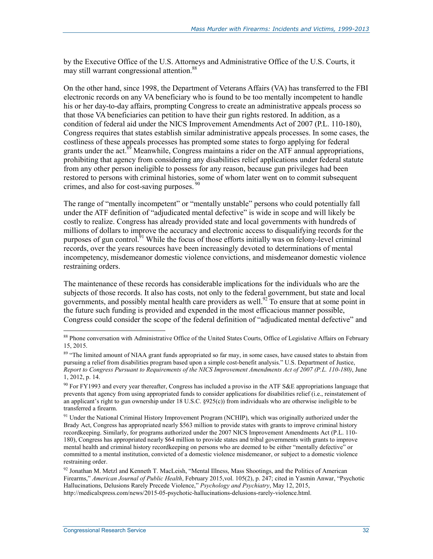by the Executive Office of the U.S. Attorneys and Administrative Office of the U.S. Courts, it may still warrant congressional attention.<sup>88</sup>

On the other hand, since 1998, the Department of Veterans Affairs (VA) has transferred to the FBI electronic records on any VA beneficiary who is found to be too mentally incompetent to handle his or her day-to-day affairs, prompting Congress to create an administrative appeals process so that those VA beneficiaries can petition to have their gun rights restored. In addition, as a condition of federal aid under the NICS Improvement Amendments Act of 2007 (P.L. 110-180), Congress requires that states establish similar administrative appeals processes. In some cases, the costliness of these appeals processes has prompted some states to forgo applying for federal grants under the act.<sup>89</sup> Meanwhile, Congress maintains a rider on the ATF annual appropriations, prohibiting that agency from considering any disabilities relief applications under federal statute from any other person ineligible to possess for any reason, because gun privileges had been restored to persons with criminal histories, some of whom later went on to commit subsequent crimes, and also for cost-saving purposes.

The range of "mentally incompetent" or "mentally unstable" persons who could potentially fall under the ATF definition of "adjudicated mental defective" is wide in scope and will likely be costly to realize. Congress has already provided state and local governments with hundreds of millions of dollars to improve the accuracy and electronic access to disqualifying records for the purposes of gun control.<sup>91</sup> While the focus of those efforts initially was on felony-level criminal records, over the years resources have been increasingly devoted to determinations of mental incompetency, misdemeanor domestic violence convictions, and misdemeanor domestic violence restraining orders.

The maintenance of these records has considerable implications for the individuals who are the subjects of those records. It also has costs, not only to the federal government, but state and local governments, and possibly mental health care providers as well.<sup>92</sup> To ensure that at some point in the future such funding is provided and expended in the most efficacious manner possible, Congress could consider the scope of the federal definition of "adjudicated mental defective" and

<sup>&</sup>lt;sup>88</sup> Phone conversation with Administrative Office of the United States Courts, Office of Legislative Affairs on February 15, 2015.

<sup>&</sup>lt;sup>89</sup> "The limited amount of NIAA grant funds appropriated so far may, in some cases, have caused states to abstain from pursuing a relief from disabilities program based upon a simple cost-benefit analysis." U.S. Department of Justice, *Report to Congress Pursuant to Requirements of the NICS Improvement Amendments Act of 2007 (P.L. 110-180)*, June 1, 2012, p. 14.

 $90$  For FY1993 and every year thereafter, Congress has included a proviso in the ATF S&E appropriations language that prevents that agency from using appropriated funds to consider applications for disabilities relief (i.e., reinstatement of an applicant's right to gun ownership under 18 U.S.C. §925(c)) from individuals who are otherwise ineligible to be transferred a firearm.

<sup>&</sup>lt;sup>91</sup> Under the National Criminal History Improvement Program (NCHIP), which was originally authorized under the Brady Act, Congress has appropriated nearly \$563 million to provide states with grants to improve criminal history recordkeeping. Similarly, for programs authorized under the 2007 NICS Improvement Amendments Act (P.L. 110- 180), Congress has appropriated nearly \$64 million to provide states and tribal governments with grants to improve mental health and criminal history recordkeeping on persons who are deemed to be either "mentally defective" or committed to a mental institution, convicted of a domestic violence misdemeanor, or subject to a domestic violence restraining order.

<sup>&</sup>lt;sup>92</sup> Jonathan M. Metzl and Kenneth T. MacLeish, "Mental Illness, Mass Shootings, and the Politics of American Firearms," *American Journal of Public Health*, February 2015,vol. 105(2), p. 247; cited in Yasmin Anwar, "Psychotic Hallucinations, Delusions Rarely Precede Violence," *Psychology and Psychiatry*, May 12, 2015, http://medicalxpress.com/news/2015-05-psychotic-hallucinations-delusions-rarely-violence.html.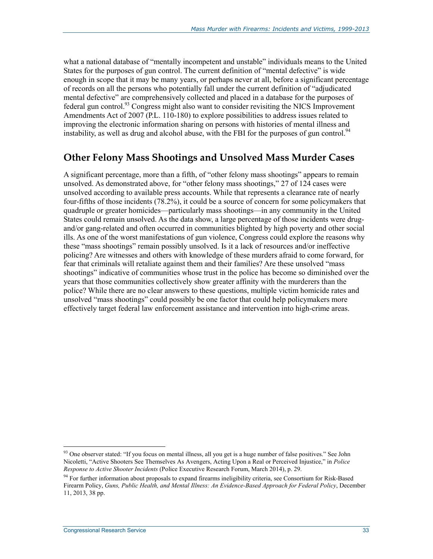what a national database of "mentally incompetent and unstable" individuals means to the United States for the purposes of gun control. The current definition of "mental defective" is wide enough in scope that it may be many years, or perhaps never at all, before a significant percentage of records on all the persons who potentially fall under the current definition of "adjudicated mental defective" are comprehensively collected and placed in a database for the purposes of federal gun control.93 Congress might also want to consider revisiting the NICS Improvement Amendments Act of 2007 (P.L. 110-180) to explore possibilities to address issues related to improving the electronic information sharing on persons with histories of mental illness and instability, as well as drug and alcohol abuse, with the FBI for the purposes of gun control.<sup>94</sup>

#### **Other Felony Mass Shootings and Unsolved Mass Murder Cases**

A significant percentage, more than a fifth, of "other felony mass shootings" appears to remain unsolved. As demonstrated above, for "other felony mass shootings," 27 of 124 cases were unsolved according to available press accounts. While that represents a clearance rate of nearly four-fifths of those incidents (78.2%), it could be a source of concern for some policymakers that quadruple or greater homicides—particularly mass shootings—in any community in the United States could remain unsolved. As the data show, a large percentage of those incidents were drugand/or gang-related and often occurred in communities blighted by high poverty and other social ills. As one of the worst manifestations of gun violence, Congress could explore the reasons why these "mass shootings" remain possibly unsolved. Is it a lack of resources and/or ineffective policing? Are witnesses and others with knowledge of these murders afraid to come forward, for fear that criminals will retaliate against them and their families? Are these unsolved "mass shootings" indicative of communities whose trust in the police has become so diminished over the years that those communities collectively show greater affinity with the murderers than the police? While there are no clear answers to these questions, multiple victim homicide rates and unsolved "mass shootings" could possibly be one factor that could help policymakers more effectively target federal law enforcement assistance and intervention into high-crime areas.

<sup>93</sup> One observer stated: "If you focus on mental illness, all you get is a huge number of false positives." See John Nicoletti, "Active Shooters See Themselves As Avengers, Acting Upon a Real or Perceived Injustice," in *Police Response to Active Shooter Incidents* (Police Executive Research Forum, March 2014), p. 29.

<sup>&</sup>lt;sup>94</sup> For further information about proposals to expand firearms ineligibility criteria, see Consortium for Risk-Based Firearm Policy, *Guns, Public Health, and Mental Illness: An Evidence-Based Approach for Federal Policy*, December 11, 2013, 38 pp.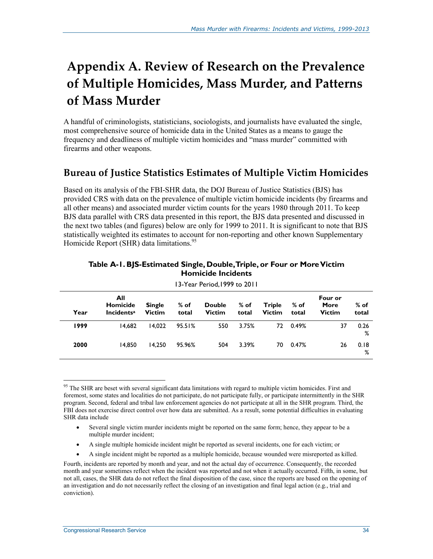# **Appendix A. Review of Research on the Prevalence of Multiple Homicides, Mass Murder, and Patterns of Mass Murder**

A handful of criminologists, statisticians, sociologists, and journalists have evaluated the single, most comprehensive source of homicide data in the United States as a means to gauge the frequency and deadliness of multiple victim homicides and "mass murder" committed with firearms and other weapons.

### **Bureau of Justice Statistics Estimates of Multiple Victim Homicides**

Based on its analysis of the FBI-SHR data, the DOJ Bureau of Justice Statistics (BJS) has provided CRS with data on the prevalence of multiple victim homicide incidents (by firearms and all other means) and associated murder victim counts for the years 1980 through 2011. To keep BJS data parallel with CRS data presented in this report, the BJS data presented and discussed in the next two tables (and figures) below are only for 1999 to 2011. It is significant to note that BJS statistically weighted its estimates to account for non-reporting and other known Supplementary Homicide Report (SHR) data limitations.<sup>95</sup>

|      | 13-1 ear Period, 1999 to 2011        |                                |                 |                                |                 |                                |                 |                                  |                 |  |  |  |
|------|--------------------------------------|--------------------------------|-----------------|--------------------------------|-----------------|--------------------------------|-----------------|----------------------------------|-----------------|--|--|--|
| Year | All<br>Homicide<br><b>Incidentsa</b> | <b>Single</b><br><b>Victim</b> | $%$ of<br>total | <b>Double</b><br><b>Victim</b> | $%$ of<br>total | <b>Triple</b><br><b>Victim</b> | $%$ of<br>total | Four or<br>More<br><b>Victim</b> | $%$ of<br>total |  |  |  |
| 1999 | 14.682                               | 14.022                         | 95.51%          | 550                            | 3.75%           |                                | 72 0.49%        | 37                               | 0.26<br>%       |  |  |  |
| 2000 | 14.850                               | 14.250                         | 95.96%          | 504                            | 3.39%           | 70                             | 0.47%           | 26                               | 0.18<br>%       |  |  |  |

#### **Table A-1. BJS-Estimated Single, Double, Triple, or Four or More Victim Homicide Incidents**

13-Year Period,1999 to 2011

- A single multiple homicide incident might be reported as several incidents, one for each victim; or
- A single incident might be reported as a multiple homicide, because wounded were misreported as killed.

<sup>&</sup>lt;u>.</u> <sup>95</sup> The SHR are beset with several significant data limitations with regard to multiple victim homicides. First and foremost, some states and localities do not participate, do not participate fully, or participate intermittently in the SHR program. Second, federal and tribal law enforcement agencies do not participate at all in the SHR program. Third, the FBI does not exercise direct control over how data are submitted. As a result, some potential difficulties in evaluating SHR data include

<sup>•</sup> Several single victim murder incidents might be reported on the same form; hence, they appear to be a multiple murder incident;

Fourth, incidents are reported by month and year, and not the actual day of occurrence. Consequently, the recorded month and year sometimes reflect when the incident was reported and not when it actually occurred. Fifth, in some, but not all, cases, the SHR data do not reflect the final disposition of the case, since the reports are based on the opening of an investigation and do not necessarily reflect the closing of an investigation and final legal action (e.g., trial and conviction).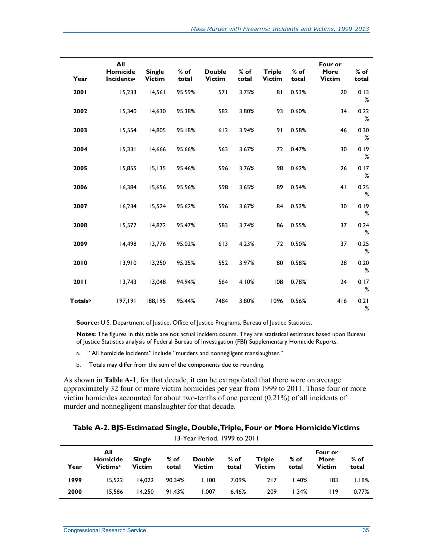| Year                       | All<br>Homicide<br><b>Incidents<sup>a</sup></b> | <b>Single</b><br><b>Victim</b> | $%$ of<br>total | <b>Double</b><br><b>Victim</b> | $%$ of<br>total | <b>Triple</b><br><b>Victim</b> | $%$ of<br>total | Four or<br>More<br><b>Victim</b> | $%$ of<br>total |
|----------------------------|-------------------------------------------------|--------------------------------|-----------------|--------------------------------|-----------------|--------------------------------|-----------------|----------------------------------|-----------------|
| 2001                       | 15,233                                          | 14,561                         | 95.59%          | 571                            | 3.75%           | 81                             | 0.53%           | 20                               | 0.13<br>%       |
| 2002                       | 15,340                                          | 14,630                         | 95.38%          | 582                            | 3.80%           | 93                             | 0.60%           | 34                               | 0.22<br>%       |
| 2003                       | 15,554                                          | 14,805                         | 95.18%          | 612                            | 3.94%           | 91                             | 0.58%           | 46                               | 0.30<br>%       |
| 2004                       | 15,331                                          | 14,666                         | 95.66%          | 563                            | 3.67%           | 72                             | 0.47%           | 30                               | 0.19<br>%       |
| 2005                       | 15,855                                          | 15,135                         | 95.46%          | 596                            | 3.76%           | 98                             | 0.62%           | 26                               | 0.17<br>%       |
| 2006                       | 16,384                                          | 15,656                         | 95.56%          | 598                            | 3.65%           | 89                             | 0.54%           | 41                               | 0.25<br>%       |
| 2007                       | 16,234                                          | 15,524                         | 95.62%          | 596                            | 3.67%           | 84                             | 0.52%           | 30                               | 0.19<br>%       |
| 2008                       | 15,577                                          | 14,872                         | 95.47%          | 583                            | 3.74%           | 86                             | 0.55%           | 37                               | 0.24<br>%       |
| 2009                       | 14,498                                          | 13,776                         | 95.02%          | 613                            | 4.23%           | 72                             | 0.50%           | 37                               | 0.25<br>%       |
| 2010                       | 13,910                                          | 13,250                         | 95.25%          | 552                            | 3.97%           | 80                             | 0.58%           | 28                               | 0.20<br>%       |
| 2011                       | 13,743                                          | 13,048                         | 94.94%          | 564                            | 4.10%           | 108                            | 0.78%           | 24                               | 0.17<br>%       |
| <b>Totals</b> <sup>b</sup> | 197,191                                         | 188,195                        | 95.44%          | 7484                           | 3.80%           | 1096                           | 0.56%           | 416                              | 0.21<br>%       |

**Source:** U.S. Department of Justice, Office of Justice Programs, Bureau of Justice Statistics.

**Notes:** The figures in this table are not actual incident counts. They are statistical estimates based upon Bureau of Justice Statistics analysis of Federal Bureau of Investigation (FBI) Supplementary Homicide Reports.

- a. "All homicide incidents" include "murders and nonnegligent manslaughter."
- b. Totals may differ from the sum of the components due to rounding.

As shown in **Table A-1**, for that decade, it can be extrapolated that there were on average approximately 32 four or more victim homicides per year from 1999 to 2011. Those four or more victim homicides accounted for about two-tenths of one percent (0.21%) of all incidents of murder and nonnegligent manslaughter for that decade.

#### **Table A-2. BJS-Estimated Single, Double, Triple, Four or More Homicide Victims**  13-Year Period, 1999 to 2011

|      | $1.3 - 1$ can be now, $1.777$ to 2011          |                                |                 |                                |                 |                                |                 |                                  |                 |  |  |  |
|------|------------------------------------------------|--------------------------------|-----------------|--------------------------------|-----------------|--------------------------------|-----------------|----------------------------------|-----------------|--|--|--|
| Year | All<br>Homicide<br><b>Victims</b> <sup>a</sup> | <b>Single</b><br><b>Victim</b> | $%$ of<br>total | <b>Double</b><br><b>Victim</b> | $%$ of<br>total | <b>Triple</b><br><b>Victim</b> | $%$ of<br>total | Four or<br>More<br><b>Victim</b> | $%$ of<br>total |  |  |  |
| 1999 | 15.522                                         | 14.022                         | 90.34%          | 1.100                          | 7.09%           | 217                            | 1.40%           | 183                              | 1.18%           |  |  |  |
| 2000 | 15.586                                         | 14.250                         | 91.43%          | 1.007                          | 6.46%           | 209                            | 1.34%           | l 19                             | $0.77\%$        |  |  |  |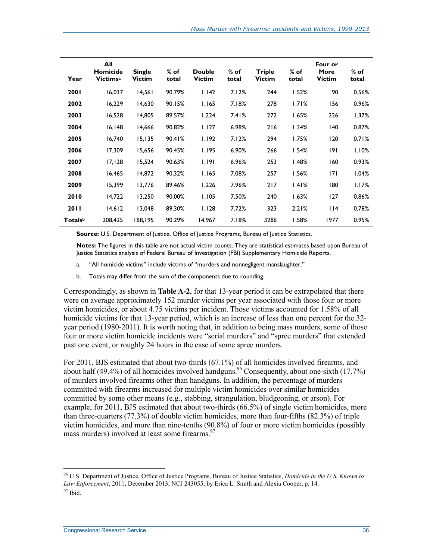| Year    | All<br>Homicide<br><b>Victimsa</b> | <b>Single</b><br><b>Victim</b> | $%$ of<br>total | <b>Double</b><br><b>Victim</b> | $%$ of<br>total | <b>Triple</b><br><b>Victim</b> | $%$ of<br>total | Four or<br>More<br><b>Victim</b> | $%$ of<br>total |
|---------|------------------------------------|--------------------------------|-----------------|--------------------------------|-----------------|--------------------------------|-----------------|----------------------------------|-----------------|
| 2001    | 16,037                             | 14,561                         | 90.79%          | 1,142                          | 7.12%           | 244                            | 1.52%           | 90                               | 0.56%           |
| 2002    | 16,229                             | 14,630                         | 90.15%          | 1,165                          | 7.18%           | 278                            | 1.71%           | 156                              | 0.96%           |
| 2003    | 16,528                             | 14,805                         | 89.57%          | 1,224                          | 7.41%           | 272                            | 1.65%           | 226                              | 1.37%           |
| 2004    | 16,148                             | 14,666                         | 90.82%          | 1,127                          | 6.98%           | 216                            | 1.34%           | 140                              | 0.87%           |
| 2005    | 16,740                             | 15, 135                        | 90.41%          | 1,192                          | 7.12%           | 294                            | 1.75%           | 120                              | 0.71%           |
| 2006    | 17,309                             | 15,656                         | 90.45%          | 1,195                          | 6.90%           | 266                            | 1.54%           | 191                              | 1.10%           |
| 2007    | 17,128                             | 15,524                         | 90.63%          | 1,191                          | 6.96%           | 253                            | 1.48%           | 160                              | 0.93%           |
| 2008    | 16,465                             | 14,872                         | 90.32%          | 1,165                          | 7.08%           | 257                            | 1.56%           | 171                              | 1.04%           |
| 2009    | 15,399                             | 13,776                         | 89.46%          | 1,226                          | 7.96%           | 217                            | 1.41%           | 180                              | 1.17%           |
| 2010    | 14,722                             | 13,250                         | 90.00%          | 1,105                          | 7.50%           | 240                            | 1.63%           | 127                              | 0.86%           |
| 2011    | 14,612                             | 13,048                         | 89.30%          | 1,128                          | 7.72%           | 323                            | 2.21%           | 114                              | 0.78%           |
| Totalsb | 208,425                            | 188,195                        | 90.29%          | 14,967                         | 7.18%           | 3286                           | 1.58%           | 1977                             | 0.95%           |

**Source:** U.S. Department of Justice, Office of Justice Programs, Bureau of Justice Statistics.

**Notes:** The figures in this table are not actual victim counts. They are statistical estimates based upon Bureau of Justice Statistics analysis of Federal Bureau of Investigation (FBI) Supplementary Homicide Reports.

- a. "All homicide victims" include victims of "murders and nonnegligent manslaughter."
- b. Totals may differ from the sum of the components due to rounding.

Correspondingly, as shown in **Table A-2**, for that 13-year period it can be extrapolated that there were on average approximately 152 murder victims per year associated with those four or more victim homicides, or about 4.75 victims per incident. Those victims accounted for 1.58% of all homicide victims for that 13-year period, which is an increase of less than one percent for the 32 year period (1980-2011). It is worth noting that, in addition to being mass murders, some of those four or more victim homicide incidents were "serial murders" and "spree murders" that extended past one event, or roughly 24 hours in the case of some spree murders.

For 2011, BJS estimated that about two-thirds (67.1%) of all homicides involved firearms, and about half (49.4%) of all homicides involved handguns.<sup>96</sup> Consequently, about one-sixth (17.7%) of murders involved firearms other than handguns. In addition, the percentage of murders committed with firearms increased for multiple victim homicides over similar homicides committed by some other means (e.g., stabbing, strangulation, bludgeoning, or arson). For example, for 2011, BJS estimated that about two-thirds (66.5%) of single victim homicides, more than three-quarters (77.3%) of double victim homicides, more than four-fifths (82.3%) of triple victim homicides, and more than nine-tenths (90.8%) of four or more victim homicides (possibly mass murders) involved at least some firearms.<sup>97</sup>

<sup>96</sup> U.S. Department of Justice, Office of Justice Programs, Bureau of Justice Statistics, *Homicide in the U.S. Known to Law Enforcement*, 2011, December 2013, NCJ 243055, by Erica L. Smith and Alexia Cooper, p. 14.

<sup>97</sup> Ibid.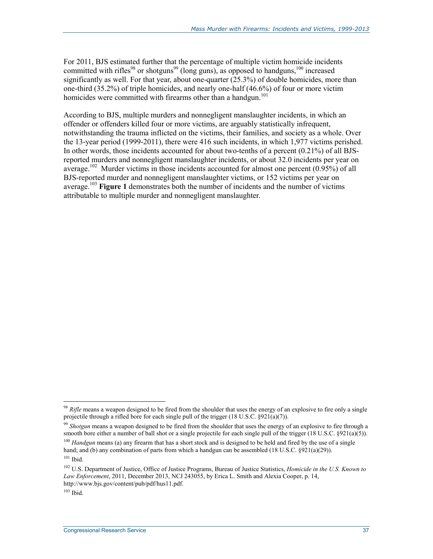For 2011, BJS estimated further that the percentage of multiple victim homicide incidents committed with rifles<sup>98</sup> or shotguns<sup>99</sup> (long guns), as opposed to handguns,<sup>100</sup> increased significantly as well. For that year, about one-quarter (25.3%) of double homicides, more than one-third (35.2%) of triple homicides, and nearly one-half (46.6%) of four or more victim homicides were committed with firearms other than a handgun.<sup>101</sup>

According to BJS, multiple murders and nonnegligent manslaughter incidents, in which an offender or offenders killed four or more victims, are arguably statistically infrequent, notwithstanding the trauma inflicted on the victims, their families, and society as a whole. Over the 13-year period (1999-2011), there were 416 such incidents, in which 1,977 victims perished. In other words, those incidents accounted for about two-tenths of a percent (0.21%) of all BJSreported murders and nonnegligent manslaughter incidents, or about 32.0 incidents per year on average.<sup>102</sup> Murder victims in those incidents accounted for almost one percent  $(0.95\%)$  of all BJS-reported murder and nonnegligent manslaughter victims, or 152 victims per year on average.103 **Figure 1** demonstrates both the number of incidents and the number of victims attributable to multiple murder and nonnegligent manslaughter.

<sup>99</sup> *Shotgun* means a weapon designed to be fired from the shoulder that uses the energy of an explosive to fire through a smooth bore either a number of ball shot or a single projectile for each single pull of the trigger (18 U.S.C. §921(a)(5)).

<sup>98</sup> *Rifle* means a weapon designed to be fired from the shoulder that uses the energy of an explosive to fire only a single projectile through a rifled bore for each single pull of the trigger (18 U.S.C. §921(a)(7)).

<sup>100</sup> *Handgun* means (a) any firearm that has a short stock and is designed to be held and fired by the use of a single hand; and (b) any combination of parts from which a handgun can be assembled (18 U.S.C. §921(a)(29)).  $101$  Ibid.

<sup>102</sup> U.S. Department of Justice, Office of Justice Programs, Bureau of Justice Statistics, *Homicide in the U.S. Known to Law Enforcement*, 2011, December 2013, NCJ 243055, by Erica L. Smith and Alexia Cooper, p. 14, http://www.bjs.gov/content/pub/pdf/hus11.pdf.

 $103$  Ibid.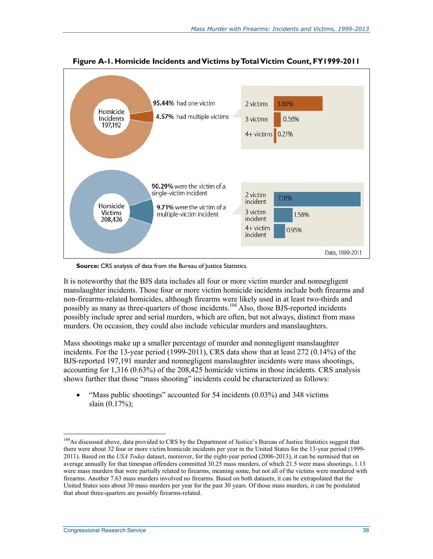![](_page_42_Figure_1.jpeg)

**Figure A-1. Homicide Incidents and Victims by Total Victim Count, FY1999-2011** 

**Source:** CRS analysis of data from the Bureau of Justice Statistics.

It is noteworthy that the BJS data includes all four or more victim murder and nonnegligent manslaughter incidents. Those four or more victim homicide incidents include both firearms and non-firearms-related homicides, although firearms were likely used in at least two-thirds and possibly as many as three-quarters of those incidents.<sup>104</sup> Also, those BJS-reported incidents possibly include spree and serial murders, which are often, but not always, distinct from mass murders. On occasion, they could also include vehicular murders and manslaughters.

Mass shootings make up a smaller percentage of murder and nonnegligent manslaughter incidents. For the 13-year period (1999-2011), CRS data show that at least 272 (0.14%) of the BJS-reported 197,191 murder and nonnegligent manslaughter incidents were mass shootings, accounting for 1,316 (0.63%) of the 208,425 homicide victims in those incidents. CRS analysis shows further that those "mass shooting" incidents could be characterized as follows:

• "Mass public shootings" accounted for 54 incidents (0.03%) and 348 victims slain (0.17%);

<sup>&</sup>lt;sup>104</sup>As discussed above, data provided to CRS by the Department of Justice's Bureau of Justice Statistics suggest that there were about 32 four or more victim homicide incidents per year in the United States for the 13-year period (1999- 2011). Based on the *USA Today* dataset, moreover, for the eight-year period (2006-2013), it can be surmised that on average annually for that timespan offenders committed 30.25 mass murders, of which 21.5 were mass shootings, 1.13 were mass murders that were partially related to firearms, meaning some, but not all of the victims were murdered with firearms. Another 7.63 mass murders involved no firearms. Based on both datasets, it can be extrapolated that the United States sees about 30 mass murders per year for the past 30 years. Of those mass murders, it can be postulated that about three-quarters are possibly firearms-related.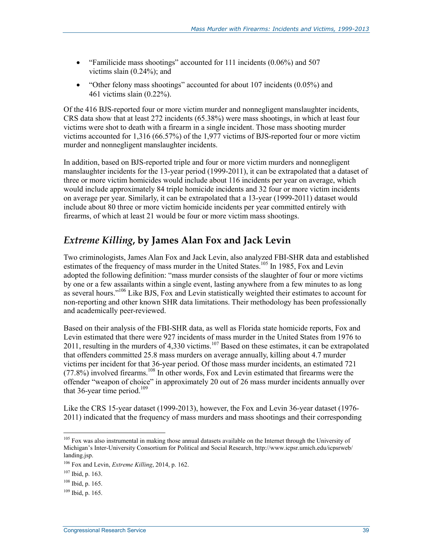- "Familicide mass shootings" accounted for 111 incidents (0.06%) and 507 victims slain (0.24%); and
- "Other felony mass shootings" accounted for about 107 incidents (0.05%) and 461 victims slain (0.22%).

Of the 416 BJS-reported four or more victim murder and nonnegligent manslaughter incidents, CRS data show that at least 272 incidents (65.38%) were mass shootings, in which at least four victims were shot to death with a firearm in a single incident. Those mass shooting murder victims accounted for 1,316 (66.57%) of the 1,977 victims of BJS-reported four or more victim murder and nonnegligent manslaughter incidents.

In addition, based on BJS-reported triple and four or more victim murders and nonnegligent manslaughter incidents for the 13-year period (1999-2011), it can be extrapolated that a dataset of three or more victim homicides would include about 116 incidents per year on average, which would include approximately 84 triple homicide incidents and 32 four or more victim incidents on average per year. Similarly, it can be extrapolated that a 13-year (1999-2011) dataset would include about 80 three or more victim homicide incidents per year committed entirely with firearms, of which at least 21 would be four or more victim mass shootings.

### *Extreme Killing***, by James Alan Fox and Jack Levin**

Two criminologists, James Alan Fox and Jack Levin, also analyzed FBI-SHR data and established estimates of the frequency of mass murder in the United States.<sup>105</sup> In 1985, Fox and Levin adopted the following definition: "mass murder consists of the slaughter of four or more victims by one or a few assailants within a single event, lasting anywhere from a few minutes to as long as several hours."<sup>106</sup> Like BJS, Fox and Levin statistically weighted their estimates to account for non-reporting and other known SHR data limitations. Their methodology has been professionally and academically peer-reviewed.

Based on their analysis of the FBI-SHR data, as well as Florida state homicide reports, Fox and Levin estimated that there were 927 incidents of mass murder in the United States from 1976 to 2011, resulting in the murders of 4,330 victims.<sup>107</sup> Based on these estimates, it can be extrapolated that offenders committed 25.8 mass murders on average annually, killing about 4.7 murder victims per incident for that 36-year period. Of those mass murder incidents, an estimated 721 (77.8%) involved firearms.108 In other words, Fox and Levin estimated that firearms were the offender "weapon of choice" in approximately 20 out of 26 mass murder incidents annually over that 36-year time period.<sup>109</sup>

Like the CRS 15-year dataset (1999-2013), however, the Fox and Levin 36-year dataset (1976- 2011) indicated that the frequency of mass murders and mass shootings and their corresponding

<sup>&</sup>lt;sup>105</sup> Fox was also instrumental in making those annual datasets available on the Internet through the University of Michigan's Inter-University Consortium for Political and Social Research, http://www.icpsr.umich.edu/icpsrweb/ landing.jsp.

<sup>106</sup> Fox and Levin, *Extreme Killing*, 2014, p. 162.

<sup>107</sup> Ibid, p. 163.

 $108$  Ibid, p. 165.

 $109$  Ibid, p. 165.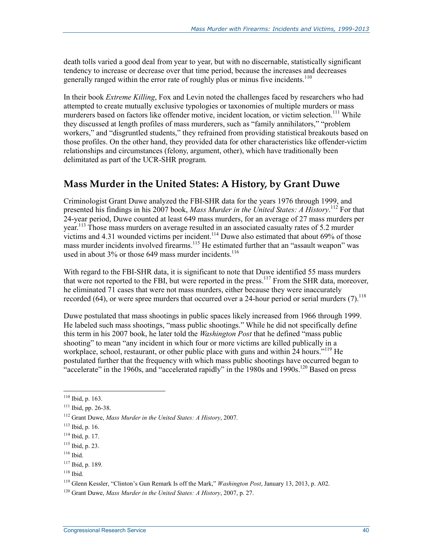death tolls varied a good deal from year to year, but with no discernable, statistically significant tendency to increase or decrease over that time period, because the increases and decreases generally ranged within the error rate of roughly plus or minus five incidents.<sup>110</sup>

In their book *Extreme Killing*, Fox and Levin noted the challenges faced by researchers who had attempted to create mutually exclusive typologies or taxonomies of multiple murders or mass murderers based on factors like offender motive, incident location, or victim selection.<sup>111</sup> While they discussed at length profiles of mass murderers, such as "family annihilators," "problem workers," and "disgruntled students," they refrained from providing statistical breakouts based on those profiles. On the other hand, they provided data for other characteristics like offender-victim relationships and circumstances (felony, argument, other), which have traditionally been delimitated as part of the UCR-SHR program.

### **Mass Murder in the United States: A History, by Grant Duwe**

Criminologist Grant Duwe analyzed the FBI-SHR data for the years 1976 through 1999, and presented his findings in his 2007 book, *Mass Murder in the United States: A History*. 112 For that 24-year period, Duwe counted at least 649 mass murders, for an average of 27 mass murders per year.<sup>113</sup> Those mass murders on average resulted in an associated casualty rates of 5.2 murder victims and  $4.31$  wounded victims per incident.<sup>114</sup> Duwe also estimated that about 69% of those mass murder incidents involved firearms.<sup>115</sup> He estimated further that an "assault weapon" was used in about  $3\%$  or those 649 mass murder incidents.<sup>116</sup>

With regard to the FBI-SHR data, it is significant to note that Duwe identified 55 mass murders that were not reported to the FBI, but were reported in the press.<sup>117</sup> From the SHR data, moreover, he eliminated 71 cases that were not mass murders, either because they were inaccurately recorded (64), or were spree murders that occurred over a 24-hour period or serial murders (7).<sup>118</sup>

Duwe postulated that mass shootings in public spaces likely increased from 1966 through 1999. He labeled such mass shootings, "mass public shootings." While he did not specifically define this term in his 2007 book, he later told the *Washington Post* that he defined "mass public shooting" to mean "any incident in which four or more victims are killed publically in a workplace, school, restaurant, or other public place with guns and within 24 hours.<sup> $119$ </sup> He postulated further that the frequency with which mass public shootings have occurred began to  $\cdot$  accelerate" in the 1960s, and "accelerated rapidly" in the 1980s and 1990s.<sup>120</sup> Based on press

 $110$  Ibid, p. 163.

<sup>111</sup> Ibid, pp. 26-38.

<sup>112</sup> Grant Duwe, *Mass Murder in the United States: A History*, 2007.

<sup>113</sup> Ibid, p. 16.

 $114$  Ibid, p. 17.

<sup>115</sup> Ibid, p. 23.

<sup>116</sup> Ibid.

<sup>117</sup> Ibid, p. 189.

<sup>118</sup> Ibid.

<sup>119</sup> Glenn Kessler, "Clinton's Gun Remark Is off the Mark," *Washington Post*, January 13, 2013, p. A02.

<sup>120</sup> Grant Duwe, *Mass Murder in the United States: A History*, 2007, p. 27.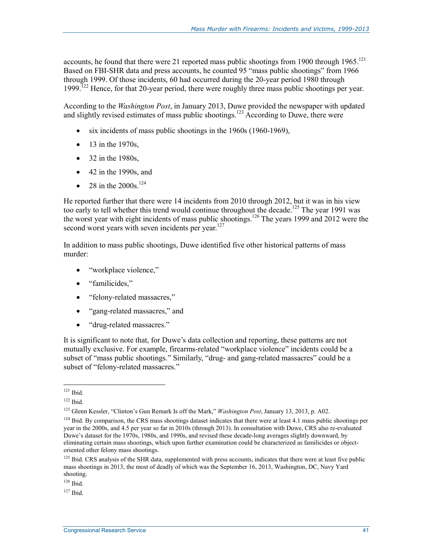accounts, he found that there were 21 reported mass public shootings from 1900 through  $1965$ .<sup>121</sup> Based on FBI-SHR data and press accounts, he counted 95 "mass public shootings" from 1966 through 1999. Of those incidents, 60 had occurred during the 20-year period 1980 through 1999.<sup> $122$ </sup> Hence, for that 20-year period, there were roughly three mass public shootings per year.

According to the *Washington Post*, in January 2013, Duwe provided the newspaper with updated and slightly revised estimates of mass public shootings.<sup>123</sup> According to Duwe, there were

- six incidents of mass public shootings in the 1960s (1960-1969),
- $\bullet$  13 in the 1970s.
- 32 in the 1980s,
- 42 in the 1990s, and
- 28 in the  $2000s$ .<sup>124</sup>

He reported further that there were 14 incidents from 2010 through 2012, but it was in his view too early to tell whether this trend would continue throughout the decade.<sup>125</sup> The year 1991 was the worst year with eight incidents of mass public shootings.<sup>126</sup> The years 1999 and 2012 were the second worst years with seven incidents per year. $127$ 

In addition to mass public shootings, Duwe identified five other historical patterns of mass murder:

- "workplace violence,"
- "familicides,"
- "felony-related massacres,"
- "gang-related massacres," and
- "drug-related massacres."

It is significant to note that, for Duwe's data collection and reporting, these patterns are not mutually exclusive. For example, firearms-related "workplace violence" incidents could be a subset of "mass public shootings." Similarly, "drug- and gang-related massacres" could be a subset of "felony-related massacres."

<sup>&</sup>lt;u>.</u>  $121$  Ibid.

 $122$  Ibid.

<sup>123</sup> Glenn Kessler, "Clinton's Gun Remark Is off the Mark," *Washington Post*, January 13, 2013, p. A02.

 $124$  Ibid. By comparison, the CRS mass shootings dataset indicates that there were at least 4.1 mass public shootings per year in the 2000s, and 4.5 per year so far in 2010s (through 2013). In consultation with Duwe, CRS also re-evaluated Duwe's dataset for the 1970s, 1980s, and 1990s, and revised these decade-long averages slightly downward, by eliminating certain mass shootings, which upon further examination could be characterized as familicides or objectoriented other felony mass shootings.

<sup>&</sup>lt;sup>125</sup> Ibid. CRS analysis of the SHR data, supplemented with press accounts, indicates that there were at least five public mass shootings in 2013, the most of deadly of which was the September 16, 2013, Washington, DC, Navy Yard shooting.

<sup>126</sup> Ibid.

 $127$  Ibid.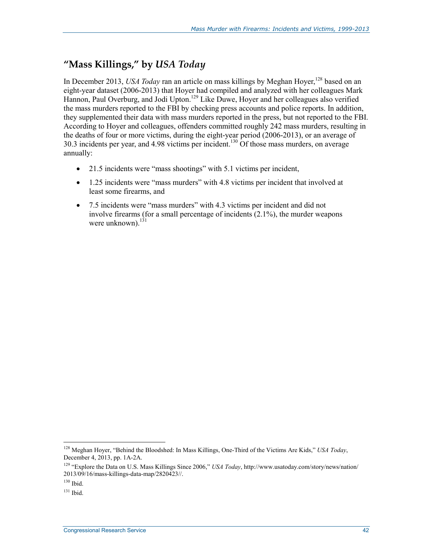### **"Mass Killings," by** *USA Today*

In December 2013, *USA Today* ran an article on mass killings by Meghan Hoyer,<sup>128</sup> based on an eight-year dataset (2006-2013) that Hoyer had compiled and analyzed with her colleagues Mark Hannon, Paul Overburg, and Jodi Upton.<sup>129</sup> Like Duwe, Hoyer and her colleagues also verified the mass murders reported to the FBI by checking press accounts and police reports. In addition, they supplemented their data with mass murders reported in the press, but not reported to the FBI. According to Hoyer and colleagues, offenders committed roughly 242 mass murders, resulting in the deaths of four or more victims, during the eight-year period (2006-2013), or an average of 30.3 incidents per year, and 4.98 victims per incident.<sup>130</sup> Of those mass murders, on average annually:

- 21.5 incidents were "mass shootings" with 5.1 victims per incident,
- 1.25 incidents were "mass murders" with 4.8 victims per incident that involved at least some firearms, and
- 7.5 incidents were "mass murders" with 4.3 victims per incident and did not involve firearms (for a small percentage of incidents (2.1%), the murder weapons were unknown). $^{131}$

<sup>128</sup> Meghan Hoyer, "Behind the Bloodshed: In Mass Killings, One-Third of the Victims Are Kids," *USA Today*, December 4, 2013, pp. 1A-2A.

<sup>129 &</sup>quot;Explore the Data on U.S. Mass Killings Since 2006," *USA Today*, http://www.usatoday.com/story/news/nation/ 2013/09/16/mass-killings-data-map/2820423//.

 $130$  Ibid.

 $131$  Ibid.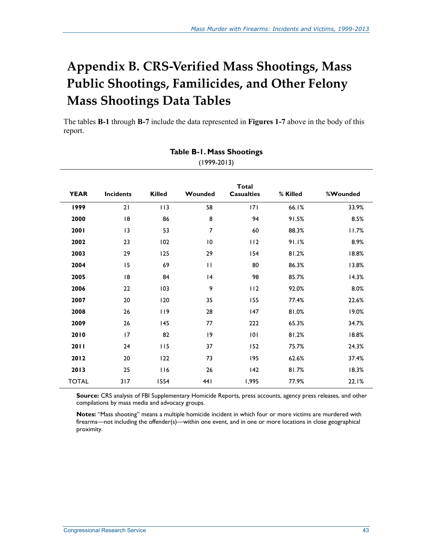# **Appendix B. CRS-Verified Mass Shootings, Mass Public Shootings, Familicides, and Other Felony Mass Shootings Data Tables**

The tables **B-1** through **B-7** include the data represented in **Figures 1-7** above in the body of this report.

|              | $(1999-2013)$    |               |                |                                   |          |          |  |  |  |  |  |  |
|--------------|------------------|---------------|----------------|-----------------------------------|----------|----------|--|--|--|--|--|--|
| <b>YEAR</b>  | <b>Incidents</b> | <b>Killed</b> | Wounded        | <b>Total</b><br><b>Casualties</b> | % Killed | %Wounded |  |  |  |  |  |  |
| 1999         | 21               | 113           | 58             | 7                                 | 66.1%    | 33.9%    |  |  |  |  |  |  |
| 2000         | 18               | 86            | 8              | 94                                | 91.5%    | 8.5%     |  |  |  |  |  |  |
| 2001         | 13               | 53            | $\overline{7}$ | 60                                | 88.3%    | 11.7%    |  |  |  |  |  |  |
| 2002         | 23               | 102           | 10             | 112                               | 91.1%    | 8.9%     |  |  |  |  |  |  |
| 2003         | 29               | 125           | 29             | 154                               | 81.2%    | 18.8%    |  |  |  |  |  |  |
| 2004         | 15               | 69            | $\mathbf{H}$   | 80                                | 86.3%    | 13.8%    |  |  |  |  |  |  |
| 2005         | 18               | 84            | 4              | 98                                | 85.7%    | 14.3%    |  |  |  |  |  |  |
| 2006         | 22               | 103           | 9              | 112                               | 92.0%    | 8.0%     |  |  |  |  |  |  |
| 2007         | 20               | 120           | 35             | 155                               | 77.4%    | 22.6%    |  |  |  |  |  |  |
| 2008         | 26               | 119           | 28             | 147                               | 81.0%    | 19.0%    |  |  |  |  |  |  |
| 2009         | 26               | 145           | 77             | 222                               | 65.3%    | 34.7%    |  |  |  |  |  |  |
| 2010         | 17               | 82            | 9              | 101                               | 81.2%    | 18.8%    |  |  |  |  |  |  |
| 2011         | 24               | 115           | 37             | 152                               | 75.7%    | 24.3%    |  |  |  |  |  |  |
| 2012         | 20               | 122           | 73             | 195                               | 62.6%    | 37.4%    |  |  |  |  |  |  |
| 2013         | 25               | 116           | 26             | 142                               | 81.7%    | 18.3%    |  |  |  |  |  |  |
| <b>TOTAL</b> | 317              | 1554          | 441            | 1,995                             | 77.9%    | 22.1%    |  |  |  |  |  |  |

# **Table B-1. Mass Shootings**

**Source:** CRS analysis of FBI Supplementary Homicide Reports, press accounts, agency press releases, and other compilations by mass media and advocacy groups.

**Notes:** "Mass shooting" means a multiple homicide incident in which four or more victims are murdered with firearms—not including the offender(s)—within one event, and in one or more locations in close geographical proximity.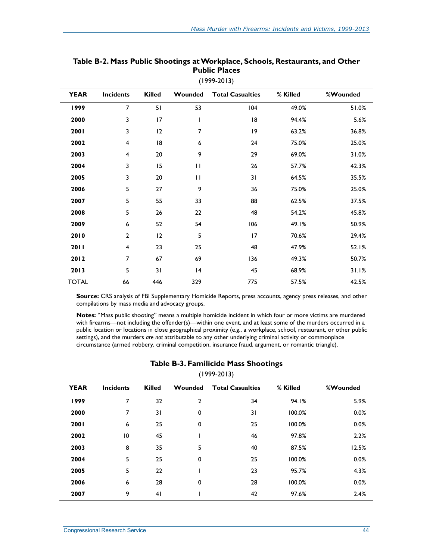| <b>YEAR</b>  | <b>Incidents</b>        | <b>Killed</b> | Wounded      | <b>Total Casualties</b> | % Killed | %Wounded |
|--------------|-------------------------|---------------|--------------|-------------------------|----------|----------|
| 1999         | $\overline{7}$          | 51            | 53           | 104                     | 49.0%    | 51.0%    |
| 2000         | 3                       | 17            | T            | 18                      | 94.4%    | 5.6%     |
| 2001         | 3                       | 12            | 7            | 9                       | 63.2%    | 36.8%    |
| 2002         | 4                       | 8             | 6            | 24                      | 75.0%    | 25.0%    |
| 2003         | 4                       | 20            | 9            | 29                      | 69.0%    | 31.0%    |
| 2004         | 3                       | 15            | $\mathbf{H}$ | 26                      | 57.7%    | 42.3%    |
| 2005         | 3                       | 20            | $\mathbf{H}$ | 31                      | 64.5%    | 35.5%    |
| 2006         | 5                       | 27            | 9            | 36                      | 75.0%    | 25.0%    |
| 2007         | 5                       | 55            | 33           | 88                      | 62.5%    | 37.5%    |
| 2008         | 5                       | 26            | 22           | 48                      | 54.2%    | 45.8%    |
| 2009         | 6                       | 52            | 54           | 106                     | 49.1%    | 50.9%    |
| 2010         | $\mathbf{2}$            | 12            | 5            | 17                      | 70.6%    | 29.4%    |
| 2011         | $\overline{\mathbf{4}}$ | 23            | 25           | 48                      | 47.9%    | 52.1%    |
| 2012         | 7                       | 67            | 69           | 136                     | 49.3%    | 50.7%    |
| 2013         | 5                       | 31            | 4            | 45                      | 68.9%    | 31.1%    |
| <b>TOTAL</b> | 66                      | 446           | 329          | 775                     | 57.5%    | 42.5%    |

#### **Table B-2. Mass Public Shootings at Workplace, Schools, Restaurants, and Other Public Places**  (1999-2013)

**Source:** CRS analysis of FBI Supplementary Homicide Reports, press accounts, agency press releases, and other compilations by mass media and advocacy groups.

**Notes:** "Mass public shooting" means a multiple homicide incident in which four or more victims are murdered with firearms—not including the offender(s)—within one event, and at least some of the murders occurred in a public location or locations in close geographical proximity (e.g., a workplace, school, restaurant, or other public settings), and the murders *are not* attributable to any other underlying criminal activity or commonplace circumstance (armed robbery, criminal competition, insurance fraud, argument, or romantic triangle).

| $(1999-2013)$ |                  |               |                |                         |          |          |  |  |  |  |  |  |
|---------------|------------------|---------------|----------------|-------------------------|----------|----------|--|--|--|--|--|--|
| <b>YEAR</b>   | <b>Incidents</b> | <b>Killed</b> | Wounded        | <b>Total Casualties</b> | % Killed | %Wounded |  |  |  |  |  |  |
| 1999          | 7                | 32            | $\overline{2}$ | 34                      | 94.1%    | 5.9%     |  |  |  |  |  |  |
| 2000          | 7                | 31            | 0              | 31                      | 100.0%   | 0.0%     |  |  |  |  |  |  |
| 2001          | 6                | 25            | 0              | 25                      | 100.0%   | 0.0%     |  |  |  |  |  |  |
| 2002          | 10               | 45            |                | 46                      | 97.8%    | 2.2%     |  |  |  |  |  |  |
| 2003          | 8                | 35            | 5              | 40                      | 87.5%    | 12.5%    |  |  |  |  |  |  |
| 2004          | 5                | 25            | 0              | 25                      | 100.0%   | 0.0%     |  |  |  |  |  |  |
| 2005          | 5                | 22            |                | 23                      | 95.7%    | 4.3%     |  |  |  |  |  |  |
| 2006          | 6                | 28            | 0              | 28                      | 100.0%   | 0.0%     |  |  |  |  |  |  |
| 2007          | 9                | 41            |                | 42                      | 97.6%    | 2.4%     |  |  |  |  |  |  |

#### **Table B-3. Familicide Mass Shootings**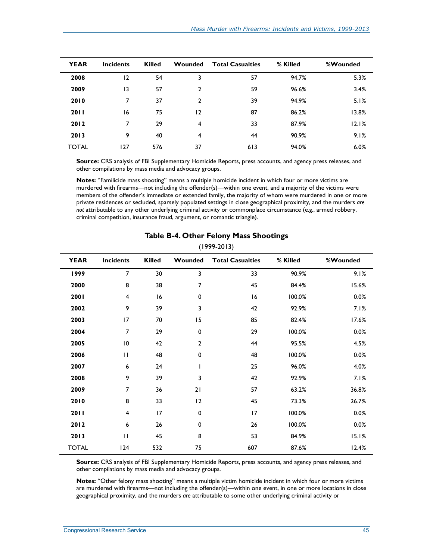| <b>YEAR</b>  | <b>Incidents</b> | <b>Killed</b> | Wounded<br><b>Total Casualties</b> |     | % Killed | %Wounded |
|--------------|------------------|---------------|------------------------------------|-----|----------|----------|
| 2008         | 12               | 54            | 3                                  | 57  | 94.7%    | 5.3%     |
| 2009         | 13               | 57            | $\overline{2}$                     | 59  | 96.6%    | 3.4%     |
| 2010         | 7                | 37            | $\overline{2}$                     | 39  | 94.9%    | 5.1%     |
| 2011         | 16               | 75            | 12                                 | 87  | 86.2%    | 13.8%    |
| 2012         | 7                | 29            | 4                                  | 33  | 87.9%    | 12.1%    |
| 2013         | 9                | 40            | 4                                  | 44  | 90.9%    | 9.1%     |
| <b>TOTAL</b> | 127              | 576           | 37                                 | 613 | 94.0%    | 6.0%     |

**Source:** CRS analysis of FBI Supplementary Homicide Reports, press accounts, and agency press releases, and other compilations by mass media and advocacy groups.

**Notes:** "Familicide mass shooting" means a multiple homicide incident in which four or more victims are murdered with firearms—not including the offender(s)—within one event, and a majority of the victims were members of the offender's immediate or extended family, the majority of whom were murdered in one or more private residences or secluded, sparsely populated settings in close geographical proximity, and the murders *are not* attributable to any other underlying criminal activity or commonplace circumstance (e.g., armed robbery, criminal competition, insurance fraud, argument, or romantic triangle).

| <b>YEAR</b>  | Incidents               | <b>Killed</b> | Wounded<br><b>Total Casualties</b> |     | % Killed | %Wounded |
|--------------|-------------------------|---------------|------------------------------------|-----|----------|----------|
| 1999         | 7                       | 30            | 3                                  | 33  | 90.9%    | 9.1%     |
| 2000         | 8                       | 38            | 7                                  | 45  | 84.4%    | 15.6%    |
| 2001         | $\overline{\mathbf{4}}$ | 16            | 0                                  | 16  | 100.0%   | 0.0%     |
| 2002         | 9                       | 39            | 3                                  | 42  | 92.9%    | 7.1%     |
| 2003         | 17                      | 70            | 15                                 | 85  | 82.4%    | 17.6%    |
| 2004         | 7                       | 29            | 0                                  | 29  | 100.0%   | 0.0%     |
| 2005         | $\overline{10}$         | 42            | 2                                  | 44  | 95.5%    | 4.5%     |
| 2006         | $\mathbf{H}$            | 48            | 0                                  | 48  | 100.0%   | 0.0%     |
| 2007         | 6                       | 24            | ı                                  | 25  | 96.0%    | 4.0%     |
| 2008         | 9                       | 39            | 3                                  | 42  | 92.9%    | 7.1%     |
| 2009         | 7                       | 36            | 21                                 | 57  | 63.2%    | 36.8%    |
| 2010         | 8                       | 33            | 12                                 | 45  | 73.3%    | 26.7%    |
| 2011         | $\overline{\mathbf{4}}$ | 17            | 0                                  | 17  | 100.0%   | 0.0%     |
| 2012         | $\bf 6$                 | 26            | 0                                  | 26  | 100.0%   | 0.0%     |
| 2013         | $\mathbf{H}$            | 45            | 8                                  | 53  | 84.9%    | 15.1%    |
| <b>TOTAL</b> | 124                     | 532           | 75                                 | 607 | 87.6%    | 12.4%    |

#### **Table B-4. Other Felony Mass Shootings**

(1999-2013)

**Source:** CRS analysis of FBI Supplementary Homicide Reports, press accounts, and agency press releases, and other compilations by mass media and advocacy groups.

**Notes:** "Other felony mass shooting" means a multiple victim homicide incident in which four or more victims are murdered with firearms—not including the offender(s)—within one event, in one or more locations in close geographical proximity, and the murders *are* attributable to some other underlying criminal activity or